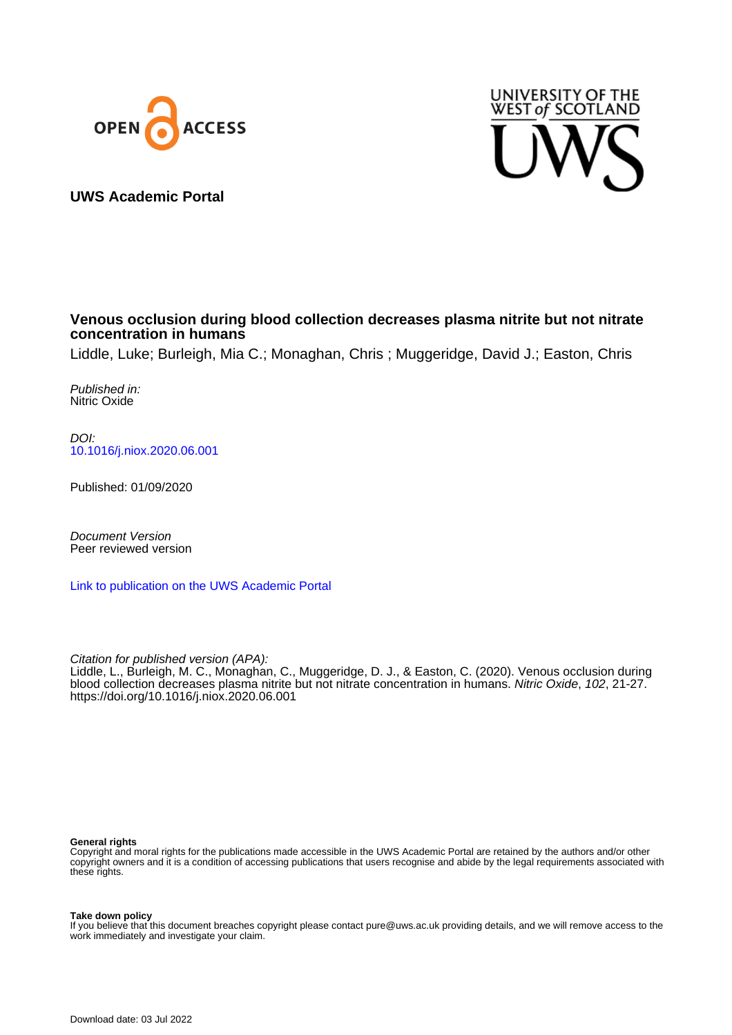



**UWS Academic Portal**

# **Venous occlusion during blood collection decreases plasma nitrite but not nitrate concentration in humans**

Liddle, Luke; Burleigh, Mia C.; Monaghan, Chris ; Muggeridge, David J.; Easton, Chris

Published in: Nitric Oxide

DOI: [10.1016/j.niox.2020.06.001](https://doi.org/10.1016/j.niox.2020.06.001)

Published: 01/09/2020

Document Version Peer reviewed version

[Link to publication on the UWS Academic Portal](https://uws.pure.elsevier.com/en/publications/51d792c6-8159-443d-8940-9ceaa188370f)

Citation for published version (APA): Liddle, L., Burleigh, M. C., Monaghan, C., Muggeridge, D. J., & Easton, C. (2020). Venous occlusion during blood collection decreases plasma nitrite but not nitrate concentration in humans. Nitric Oxide, 102, 21-27. <https://doi.org/10.1016/j.niox.2020.06.001>

#### **General rights**

Copyright and moral rights for the publications made accessible in the UWS Academic Portal are retained by the authors and/or other copyright owners and it is a condition of accessing publications that users recognise and abide by the legal requirements associated with these rights.

**Take down policy**

If you believe that this document breaches copyright please contact pure@uws.ac.uk providing details, and we will remove access to the work immediately and investigate your claim.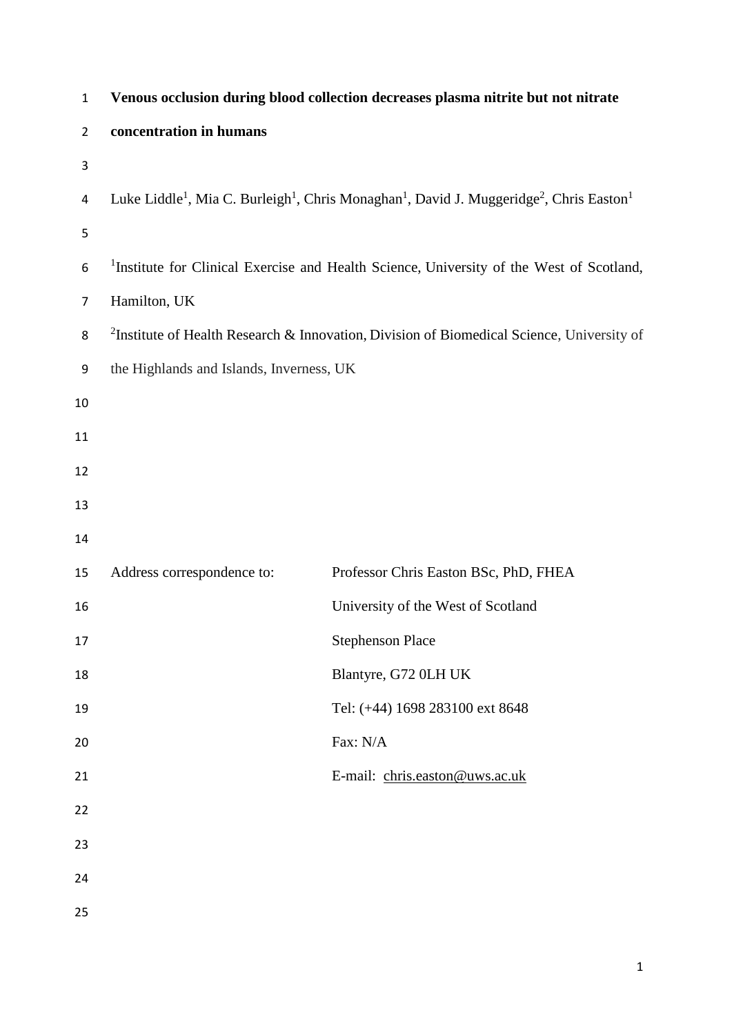| $\mathbf{1}$   |                                          | Venous occlusion during blood collection decreases plasma nitrite but not nitrate                                                                    |
|----------------|------------------------------------------|------------------------------------------------------------------------------------------------------------------------------------------------------|
| $\overline{2}$ | concentration in humans                  |                                                                                                                                                      |
| 3              |                                          |                                                                                                                                                      |
| 4              |                                          | Luke Liddle <sup>1</sup> , Mia C. Burleigh <sup>1</sup> , Chris Monaghan <sup>1</sup> , David J. Muggeridge <sup>2</sup> , Chris Easton <sup>1</sup> |
| 5              |                                          |                                                                                                                                                      |
| 6              |                                          | <sup>1</sup> Institute for Clinical Exercise and Health Science, University of the West of Scotland,                                                 |
| $\overline{7}$ | Hamilton, UK                             |                                                                                                                                                      |
| 8              |                                          | <sup>2</sup> Institute of Health Research & Innovation, Division of Biomedical Science, University of                                                |
| 9              | the Highlands and Islands, Inverness, UK |                                                                                                                                                      |
| 10             |                                          |                                                                                                                                                      |
| 11             |                                          |                                                                                                                                                      |
| 12             |                                          |                                                                                                                                                      |
| 13             |                                          |                                                                                                                                                      |
| 14             |                                          |                                                                                                                                                      |
| 15             | Address correspondence to:               | Professor Chris Easton BSc, PhD, FHEA                                                                                                                |
| 16             |                                          | University of the West of Scotland                                                                                                                   |
| 17             |                                          | <b>Stephenson Place</b>                                                                                                                              |
| 18             |                                          | Blantyre, G72 0LH UK                                                                                                                                 |
| 19             |                                          | Tel: (+44) 1698 283100 ext 8648                                                                                                                      |
| 20             |                                          | Fax: N/A                                                                                                                                             |
| 21             |                                          | E-mail: chris.easton@uws.ac.uk                                                                                                                       |
| 22             |                                          |                                                                                                                                                      |
| 23             |                                          |                                                                                                                                                      |
| 24             |                                          |                                                                                                                                                      |
| 25             |                                          |                                                                                                                                                      |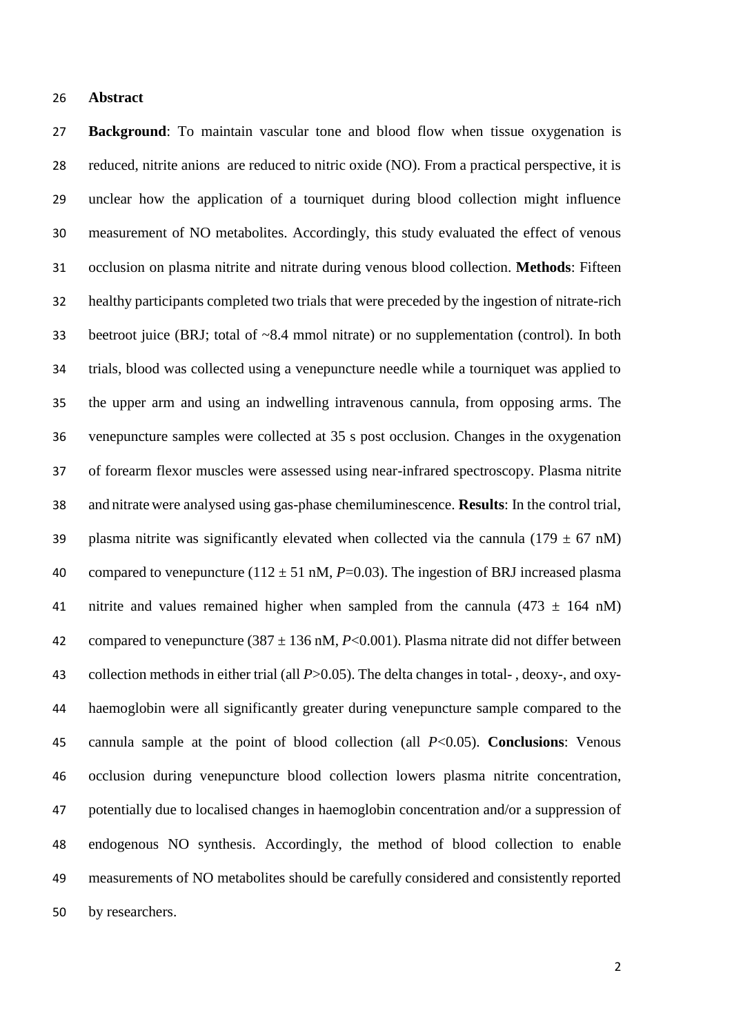#### **Abstract**

 **Background**: To maintain vascular tone and blood flow when tissue oxygenation is reduced, nitrite anions are reduced to nitric oxide (NO). From a practical perspective, it is unclear how the application of a tourniquet during blood collection might influence measurement of NO metabolites. Accordingly, this study evaluated the effect of venous occlusion on plasma nitrite and nitrate during venous blood collection. **Methods**: Fifteen healthy participants completed two trials that were preceded by the ingestion of nitrate-rich beetroot juice (BRJ; total of ~8.4 mmol nitrate) or no supplementation (control). In both trials, blood was collected using a venepuncture needle while a tourniquet was applied to the upper arm and using an indwelling intravenous cannula, from opposing arms. The venepuncture samples were collected at 35 s post occlusion. Changes in the oxygenation of forearm flexor muscles were assessed using near-infrared spectroscopy. Plasma nitrite and nitrate were analysed using gas-phase chemiluminescence. **Results**: In the control trial, 39 plasma nitrite was significantly elevated when collected via the cannula (179  $\pm$  67 nM) 40 compared to venepuncture ( $112 \pm 51$  nM,  $P=0.03$ ). The ingestion of BRJ increased plasma 41 nitrite and values remained higher when sampled from the cannula  $(473 \pm 164 \text{ nM})$ 42 compared to venepuncture  $(387 \pm 136 \text{ nM}, P<0.001)$ . Plasma nitrate did not differ between collection methods in either trial (all *P*>0.05). The delta changes in total- , deoxy-, and oxy- haemoglobin were all significantly greater during venepuncture sample compared to the cannula sample at the point of blood collection (all *P*<0.05). **Conclusions**: Venous occlusion during venepuncture blood collection lowers plasma nitrite concentration, potentially due to localised changes in haemoglobin concentration and/or a suppression of endogenous NO synthesis. Accordingly, the method of blood collection to enable measurements of NO metabolites should be carefully considered and consistently reported by researchers.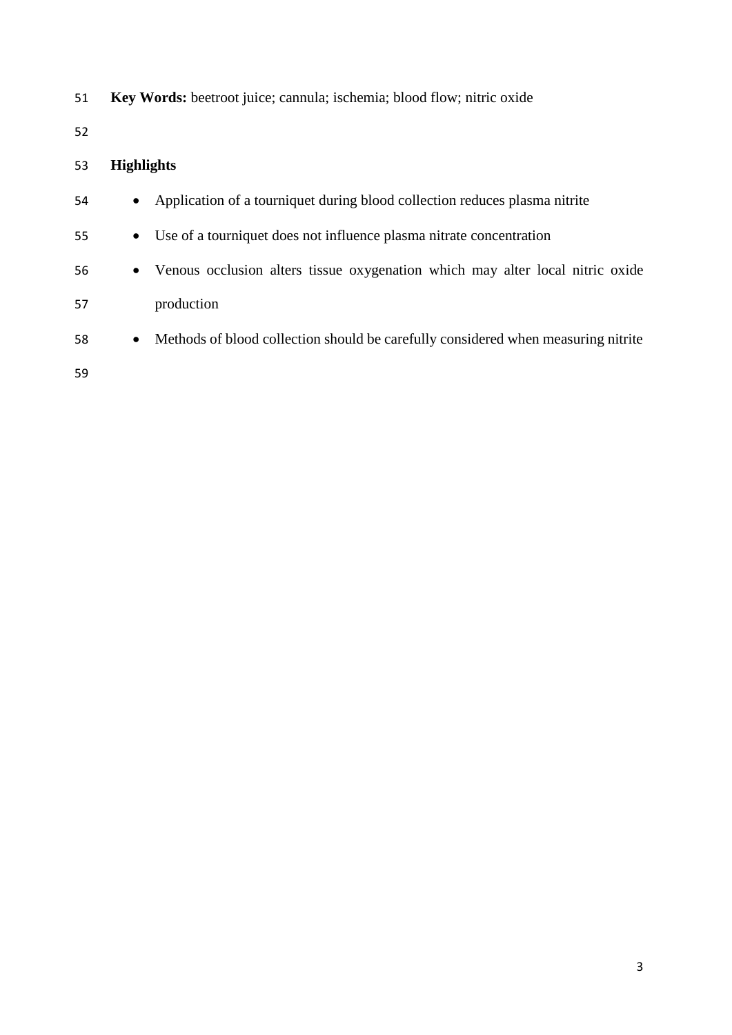**Key Words:** beetroot juice; cannula; ischemia; blood flow; nitric oxide

# **Highlights**

| 54 | $\bullet$ | Application of a tourniquet during blood collection reduces plasma nitrite        |
|----|-----------|-----------------------------------------------------------------------------------|
| 55 | $\bullet$ | Use of a tourniquet does not influence plasma nitrate concentration               |
| 56 | $\bullet$ | Venous occlusion alters tissue oxygenation which may alter local nitric oxide     |
| 57 |           | production                                                                        |
| 58 | $\bullet$ | Methods of blood collection should be carefully considered when measuring nitrite |
| 59 |           |                                                                                   |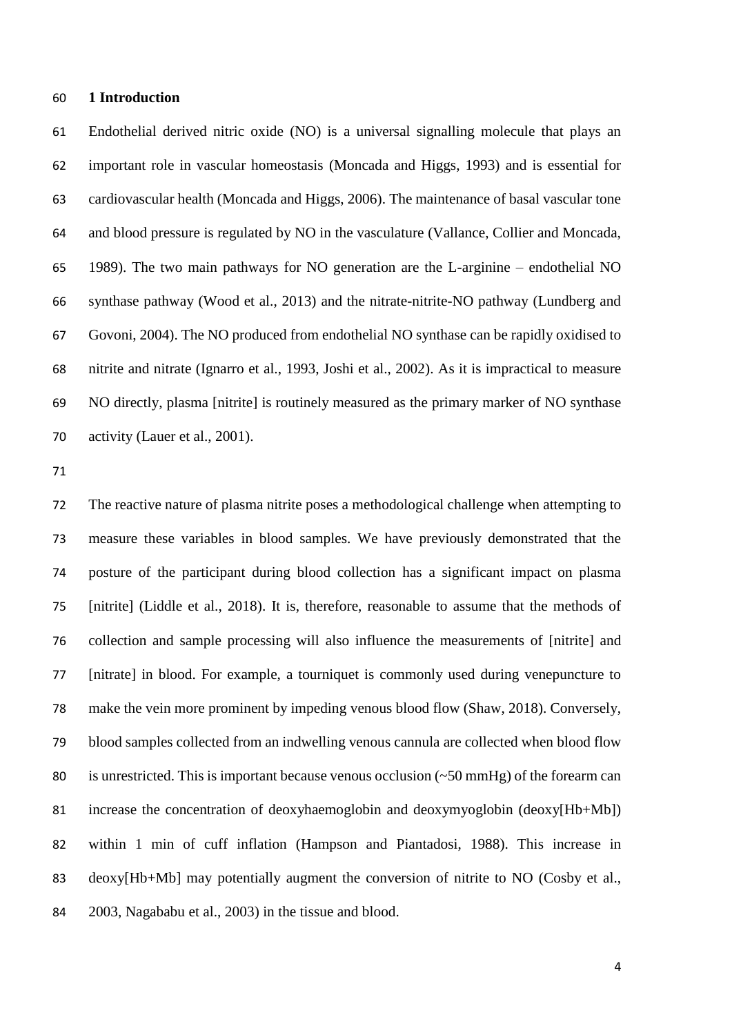#### **1 Introduction**

 Endothelial derived nitric oxide (NO) is a universal signalling molecule that plays an important role in vascular homeostasis (Moncada and Higgs, 1993) and is essential for cardiovascular health (Moncada and Higgs, 2006). The maintenance of basal vascular tone and blood pressure is regulated by NO in the vasculature (Vallance, Collier and Moncada, 1989). The two main pathways for NO generation are the L-arginine – endothelial NO synthase pathway (Wood et al., 2013) and the nitrate-nitrite-NO pathway (Lundberg and Govoni, 2004). The NO produced from endothelial NO synthase can be rapidly oxidised to nitrite and nitrate (Ignarro et al., 1993, Joshi et al., 2002). As it is impractical to measure NO directly, plasma [nitrite] is routinely measured as the primary marker of NO synthase 70 activity (Lauer et al., 2001).

 The reactive nature of plasma nitrite poses a methodological challenge when attempting to measure these variables in blood samples. We have previously demonstrated that the posture of the participant during blood collection has a significant impact on plasma [nitrite] (Liddle et al., 2018). It is, therefore, reasonable to assume that the methods of collection and sample processing will also influence the measurements of [nitrite] and [nitrate] in blood. For example, a tourniquet is commonly used during venepuncture to make the vein more prominent by impeding venous blood flow (Shaw, 2018). Conversely, blood samples collected from an indwelling venous cannula are collected when blood flow 80 is unrestricted. This is important because venous occlusion  $(\sim 50 \text{ mmHg})$  of the forearm can increase the concentration of deoxyhaemoglobin and deoxymyoglobin (deoxy[Hb+Mb]) within 1 min of cuff inflation (Hampson and Piantadosi, 1988). This increase in deoxy[Hb+Mb] may potentially augment the conversion of nitrite to NO (Cosby et al., 2003, Nagababu et al., 2003) in the tissue and blood.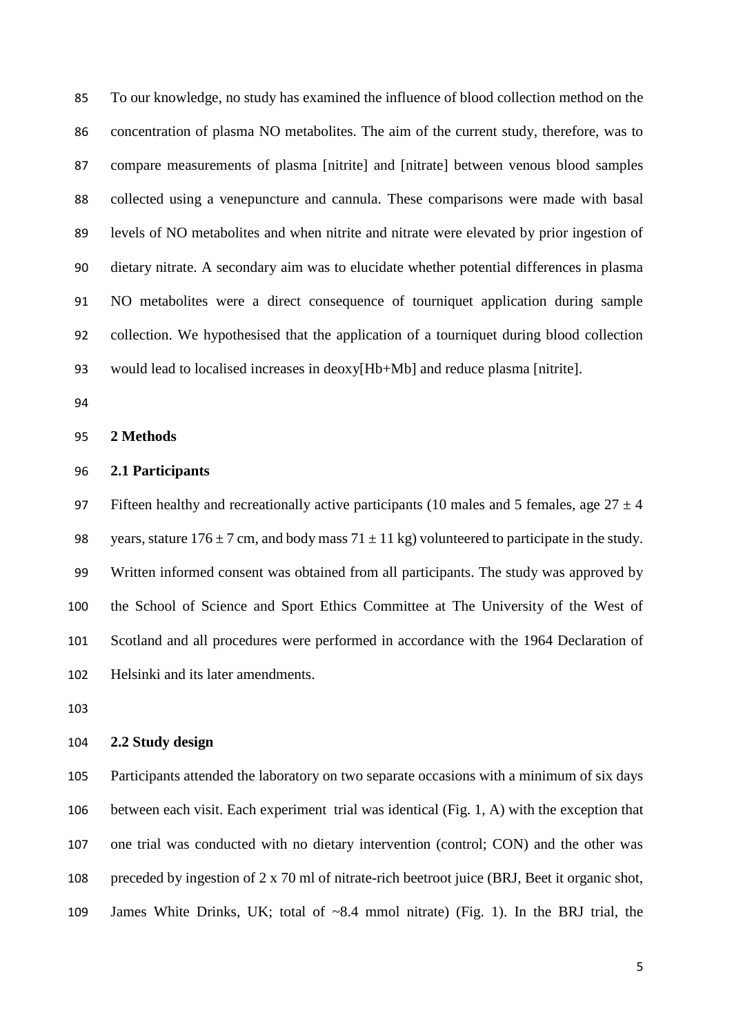To our knowledge, no study has examined the influence of blood collection method on the concentration of plasma NO metabolites. The aim of the current study, therefore, was to compare measurements of plasma [nitrite] and [nitrate] between venous blood samples collected using a venepuncture and cannula. These comparisons were made with basal levels of NO metabolites and when nitrite and nitrate were elevated by prior ingestion of dietary nitrate. A secondary aim was to elucidate whether potential differences in plasma NO metabolites were a direct consequence of tourniquet application during sample collection. We hypothesised that the application of a tourniquet during blood collection would lead to localised increases in deoxy[Hb+Mb] and reduce plasma [nitrite].

**2 Methods**

#### **2.1 Participants**

97 Fifteen healthy and recreationally active participants (10 males and 5 females, age  $27 \pm 4$ ) 98 years, stature  $176 \pm 7$  cm, and body mass  $71 \pm 11$  kg) volunteered to participate in the study. Written informed consent was obtained from all participants. The study was approved by the School of Science and Sport Ethics Committee at The University of the West of Scotland and all procedures were performed in accordance with the 1964 Declaration of Helsinki and its later amendments.

### **2.2 Study design**

 Participants attended the laboratory on two separate occasions with a minimum of six days between each visit. Each experiment trial was identical (Fig. 1, A) with the exception that one trial was conducted with no dietary intervention (control; CON) and the other was preceded by ingestion of 2 x 70 ml of nitrate-rich beetroot juice (BRJ, Beet it organic shot, James White Drinks, UK; total of ~8.4 mmol nitrate) (Fig. 1). In the BRJ trial, the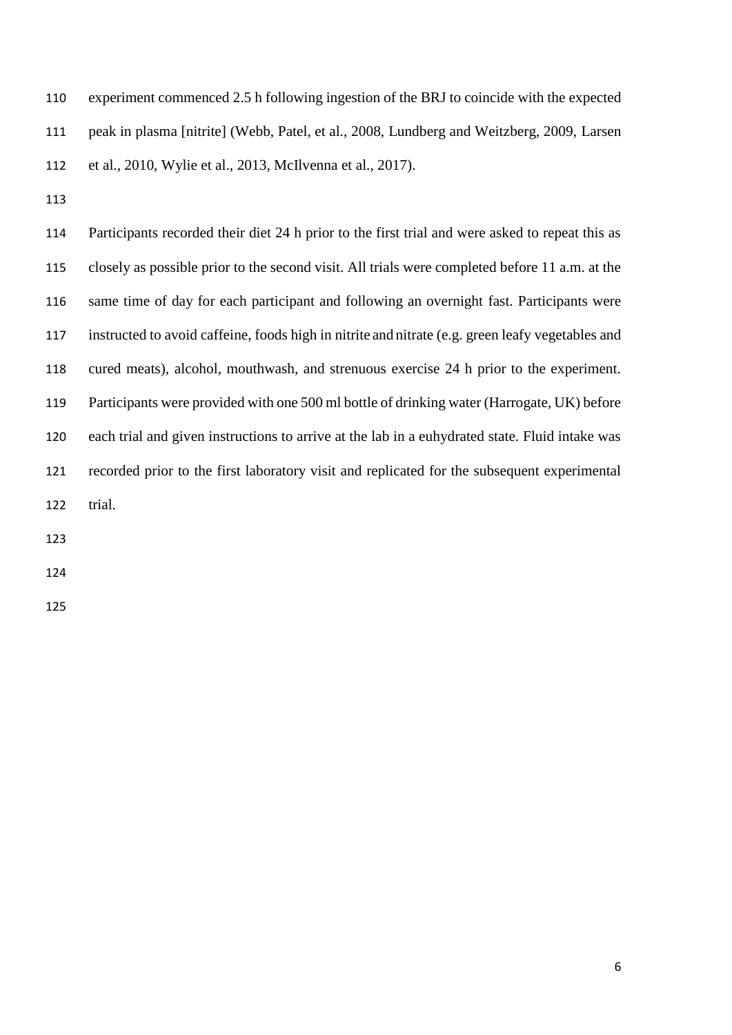| 110 | experiment commenced 2.5 h following ingestion of the BRJ to coincide with the expected   |
|-----|-------------------------------------------------------------------------------------------|
| 111 | peak in plasma [nitrite] (Webb, Patel, et al., 2008, Lundberg and Weitzberg, 2009, Larsen |
| 112 | et al., 2010, Wylie et al., 2013, McIlvenna et al., 2017).                                |

 Participants recorded their diet 24 h prior to the first trial and were asked to repeat this as closely as possible prior to the second visit. All trials were completed before 11 a.m. at the same time of day for each participant and following an overnight fast. Participants were instructed to avoid caffeine, foods high in nitrite and nitrate (e.g. green leafy vegetables and cured meats), alcohol, mouthwash, and strenuous exercise 24 h prior to the experiment. Participants were provided with one 500 ml bottle of drinking water (Harrogate, UK) before each trial and given instructions to arrive at the lab in a euhydrated state. Fluid intake was recorded prior to the first laboratory visit and replicated for the subsequent experimental trial.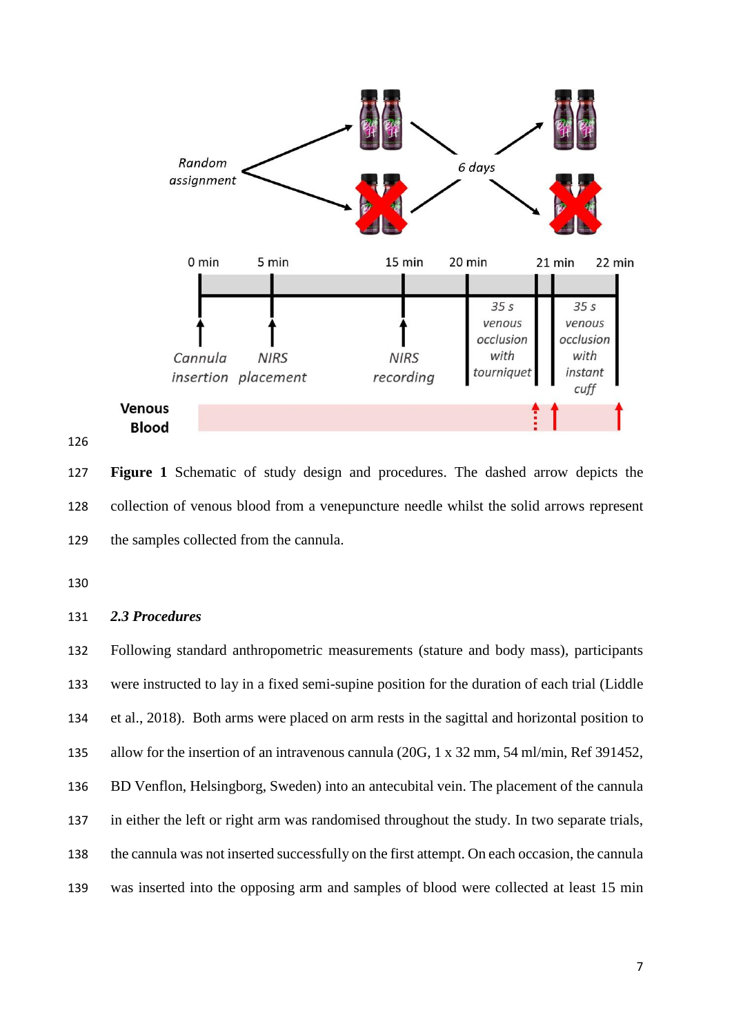

 **Figure 1** Schematic of study design and procedures. The dashed arrow depicts the collection of venous blood from a venepuncture needle whilst the solid arrows represent the samples collected from the cannula.

#### *2.3 Procedures*

 Following standard anthropometric measurements (stature and body mass), participants were instructed to lay in a fixed semi-supine position for the duration of each trial (Liddle et al., 2018). Both arms were placed on arm rests in the sagittal and horizontal position to allow for the insertion of an intravenous cannula (20G, 1 x 32 mm, 54 ml/min, Ref 391452, BD Venflon, Helsingborg, Sweden) into an antecubital vein. The placement of the cannula in either the left or right arm was randomised throughout the study. In two separate trials, the cannula was not inserted successfully on the first attempt. On each occasion, the cannula was inserted into the opposing arm and samples of blood were collected at least 15 min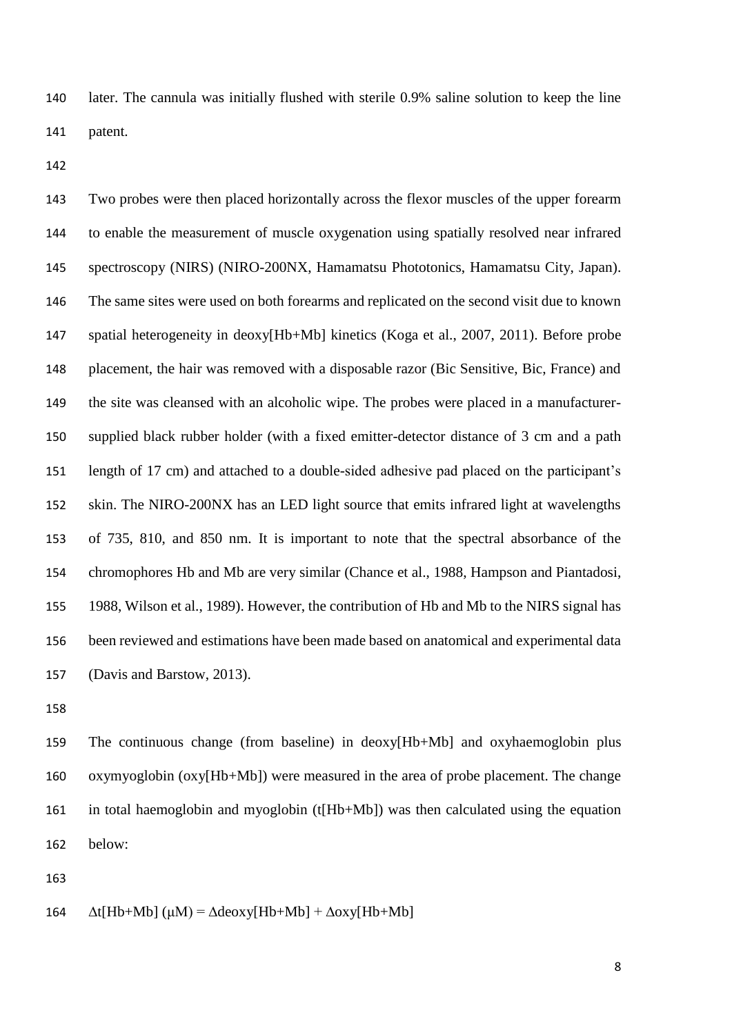later. The cannula was initially flushed with sterile 0.9% saline solution to keep the line patent.

 Two probes were then placed horizontally across the flexor muscles of the upper forearm to enable the measurement of muscle oxygenation using spatially resolved near infrared spectroscopy (NIRS) (NIRO-200NX, Hamamatsu Phototonics, Hamamatsu City, Japan). The same sites were used on both forearms and replicated on the second visit due to known spatial heterogeneity in deoxy[Hb+Mb] kinetics (Koga et al., 2007, 2011). Before probe placement, the hair was removed with a disposable razor (Bic Sensitive, Bic, France) and the site was cleansed with an alcoholic wipe. The probes were placed in a manufacturer- supplied black rubber holder (with a fixed emitter-detector distance of 3 cm and a path length of 17 cm) and attached to a double-sided adhesive pad placed on the participant's skin. The NIRO-200NX has an LED light source that emits infrared light at wavelengths of 735, 810, and 850 nm. It is important to note that the spectral absorbance of the chromophores Hb and Mb are very similar (Chance et al., 1988, Hampson and Piantadosi, 1988, Wilson et al., 1989). However, the contribution of Hb and Mb to the NIRS signal has been reviewed and estimations have been made based on anatomical and experimental data (Davis and Barstow, 2013).

 The continuous change (from baseline) in deoxy[Hb+Mb] and oxyhaemoglobin plus oxymyoglobin (oxy[Hb+Mb]) were measured in the area of probe placement. The change in total haemoglobin and myoglobin (t[Hb+Mb]) was then calculated using the equation below:

164 
$$
\Delta t[Hb+Mb]
$$
 ( $\mu M$ ) =  $\Delta$ deoxy[Hb+Mb] +  $\Delta$ oxy[Hb+Mb]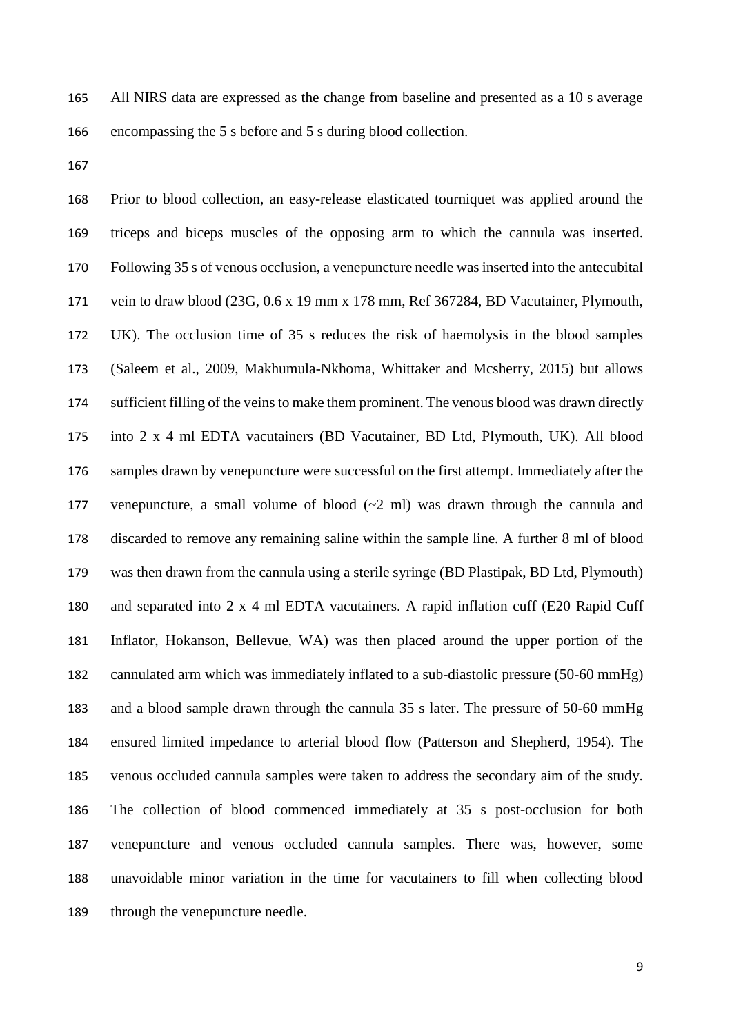All NIRS data are expressed as the change from baseline and presented as a 10 s average encompassing the 5 s before and 5 s during blood collection.

 Prior to blood collection, an easy-release elasticated tourniquet was applied around the triceps and biceps muscles of the opposing arm to which the cannula was inserted. Following 35 s of venous occlusion, a venepuncture needle was inserted into the antecubital vein to draw blood (23G, 0.6 x 19 mm x 178 mm, Ref 367284, BD Vacutainer, Plymouth, UK). The occlusion time of 35 s reduces the risk of haemolysis in the blood samples (Saleem et al., 2009, Makhumula-Nkhoma, Whittaker and Mcsherry, 2015) but allows sufficient filling of the veins to make them prominent. The venous blood was drawn directly into 2 x 4 ml EDTA vacutainers (BD Vacutainer, BD Ltd, Plymouth, UK). All blood samples drawn by venepuncture were successful on the first attempt. Immediately after the venepuncture, a small volume of blood (~2 ml) was drawn through the cannula and discarded to remove any remaining saline within the sample line. A further 8 ml of blood was then drawn from the cannula using a sterile syringe (BD Plastipak, BD Ltd, Plymouth) and separated into 2 x 4 ml EDTA vacutainers. A rapid inflation cuff (E20 Rapid Cuff Inflator, Hokanson, Bellevue, WA) was then placed around the upper portion of the cannulated arm which was immediately inflated to a sub-diastolic pressure (50-60 mmHg) and a blood sample drawn through the cannula 35 s later. The pressure of 50-60 mmHg ensured limited impedance to arterial blood flow (Patterson and Shepherd, 1954). The venous occluded cannula samples were taken to address the secondary aim of the study. The collection of blood commenced immediately at 35 s post-occlusion for both venepuncture and venous occluded cannula samples. There was, however, some unavoidable minor variation in the time for vacutainers to fill when collecting blood through the venepuncture needle.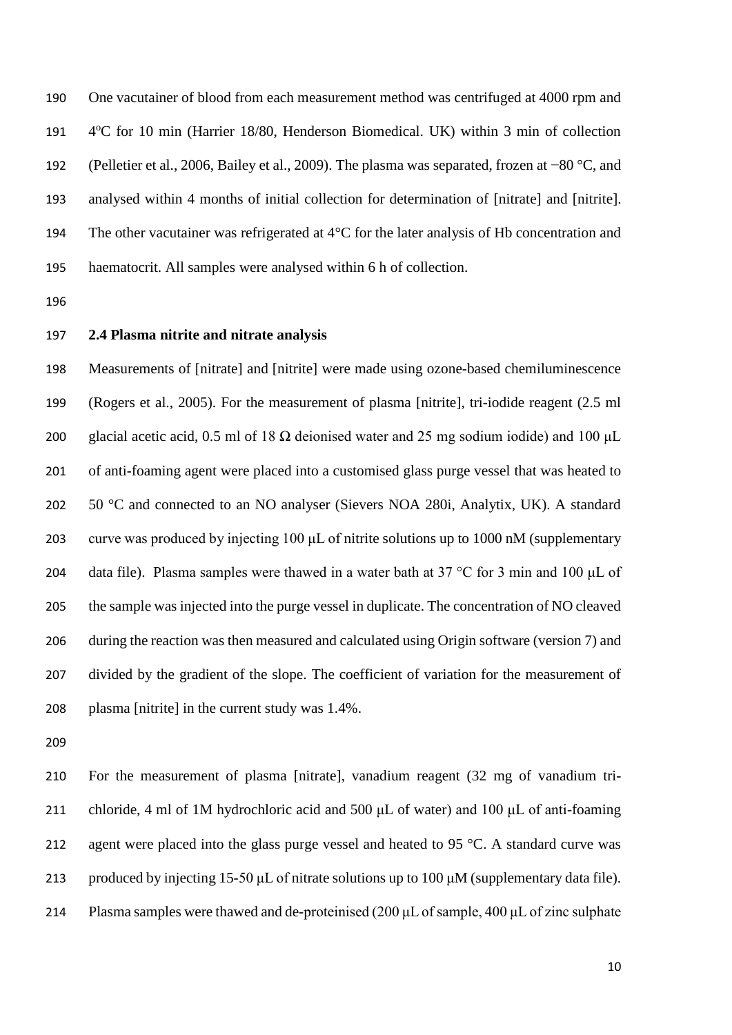One vacutainer of blood from each measurement method was centrifuged at 4000 rpm and 191 4°C for 10 min (Harrier 18/80, Henderson Biomedical. UK) within 3 min of collection (Pelletier et al., 2006, Bailey et al., 2009). The plasma was separated, frozen at −80 °C, and analysed within 4 months of initial collection for determination of [nitrate] and [nitrite]. 194 The other vacutainer was refrigerated at 4<sup>o</sup>C for the later analysis of Hb concentration and haematocrit. All samples were analysed within 6 h of collection.

#### **2.4 Plasma nitrite and nitrate analysis**

 Measurements of [nitrate] and [nitrite] were made using ozone-based chemiluminescence (Rogers et al., 2005). For the measurement of plasma [nitrite], tri-iodide reagent (2.5 ml 200 glacial acetic acid, 0.5 ml of 18  $\Omega$  deionised water and 25 mg sodium iodide) and 100 µL of anti-foaming agent were placed into a customised glass purge vessel that was heated to 202 50 °C and connected to an NO analyser (Sievers NOA 280i, Analytix, UK). A standard curve was produced by injecting 100 μL of nitrite solutions up to 1000 nM (supplementary 204 data file). Plasma samples were thawed in a water bath at  $37 \degree$ C for 3 min and 100 µL of the sample was injected into the purge vessel in duplicate. The concentration of NO cleaved during the reaction was then measured and calculated using Origin software (version 7) and divided by the gradient of the slope. The coefficient of variation for the measurement of plasma [nitrite] in the current study was 1.4%.

 For the measurement of plasma [nitrate], vanadium reagent (32 mg of vanadium tri- chloride, 4 ml of 1M hydrochloric acid and 500 μL of water) and 100 μL of anti-foaming 212 agent were placed into the glass purge vessel and heated to 95 °C. A standard curve was 213 produced by injecting 15-50  $\mu$ L of nitrate solutions up to 100  $\mu$ M (supplementary data file). Plasma samples were thawed and de-proteinised (200 μL of sample, 400 μL of zinc sulphate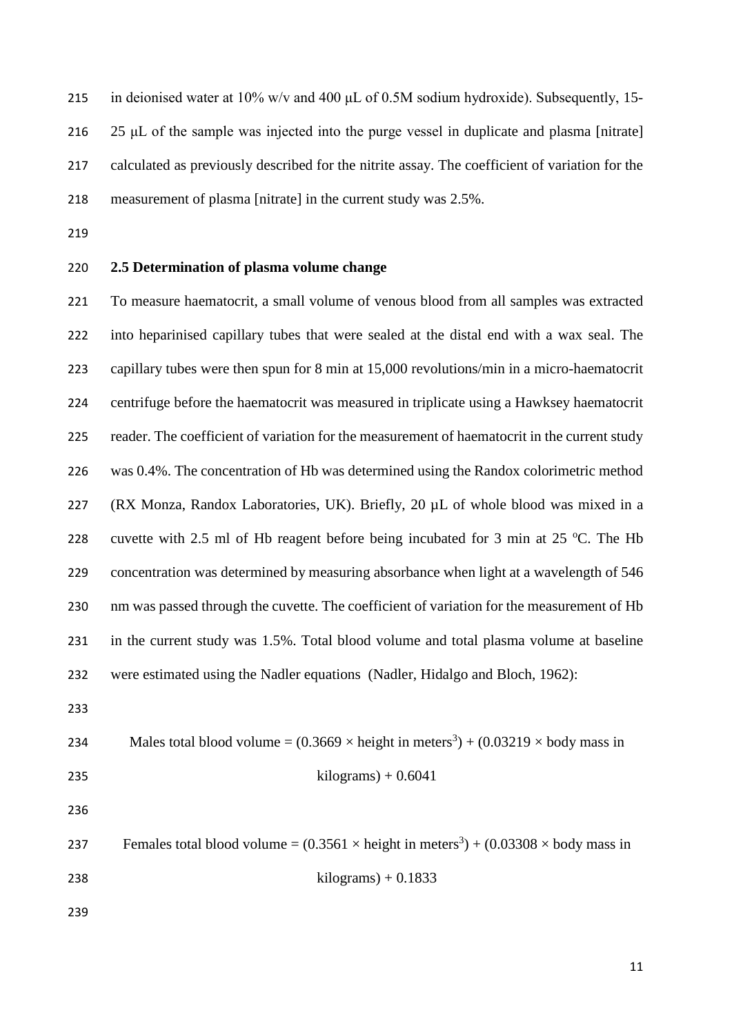215 in deionised water at  $10\%$  w/v and  $400 \mu$ L of 0.5M sodium hydroxide). Subsequently, 15-216 25 μL of the sample was injected into the purge vessel in duplicate and plasma [nitrate] calculated as previously described for the nitrite assay. The coefficient of variation for the measurement of plasma [nitrate] in the current study was 2.5%.

### **2.5 Determination of plasma volume change**

 To measure haematocrit, a small volume of venous blood from all samples was extracted into heparinised capillary tubes that were sealed at the distal end with a wax seal. The capillary tubes were then spun for 8 min at 15,000 revolutions/min in a micro-haematocrit centrifuge before the haematocrit was measured in triplicate using a Hawksey haematocrit reader. The coefficient of variation for the measurement of haematocrit in the current study was 0.4%. The concentration of Hb was determined using the Randox colorimetric method 227 (RX Monza, Randox Laboratories, UK). Briefly, 20 µL of whole blood was mixed in a 228 cuvette with 2.5 ml of Hb reagent before being incubated for 3 min at 25 °C. The Hb concentration was determined by measuring absorbance when light at a wavelength of 546 230 nm was passed through the cuvette. The coefficient of variation for the measurement of Hb in the current study was 1.5%. Total blood volume and total plasma volume at baseline were estimated using the Nadler equations (Nadler, Hidalgo and Bloch, 1962):

| 234 | Males total blood volume = $(0.3669 \times \text{height in meters}^3) + (0.03219 \times \text{body mass in})$ |  |  |  |  |
|-----|---------------------------------------------------------------------------------------------------------------|--|--|--|--|
|-----|---------------------------------------------------------------------------------------------------------------|--|--|--|--|

- $\text{kilograms}$ ) + 0.6041
- 

237 Females total blood volume =  $(0.3561 \times \text{height in meters}^3) + (0.03308 \times \text{body mass in}^3)$ 

kilograms) + 0.1833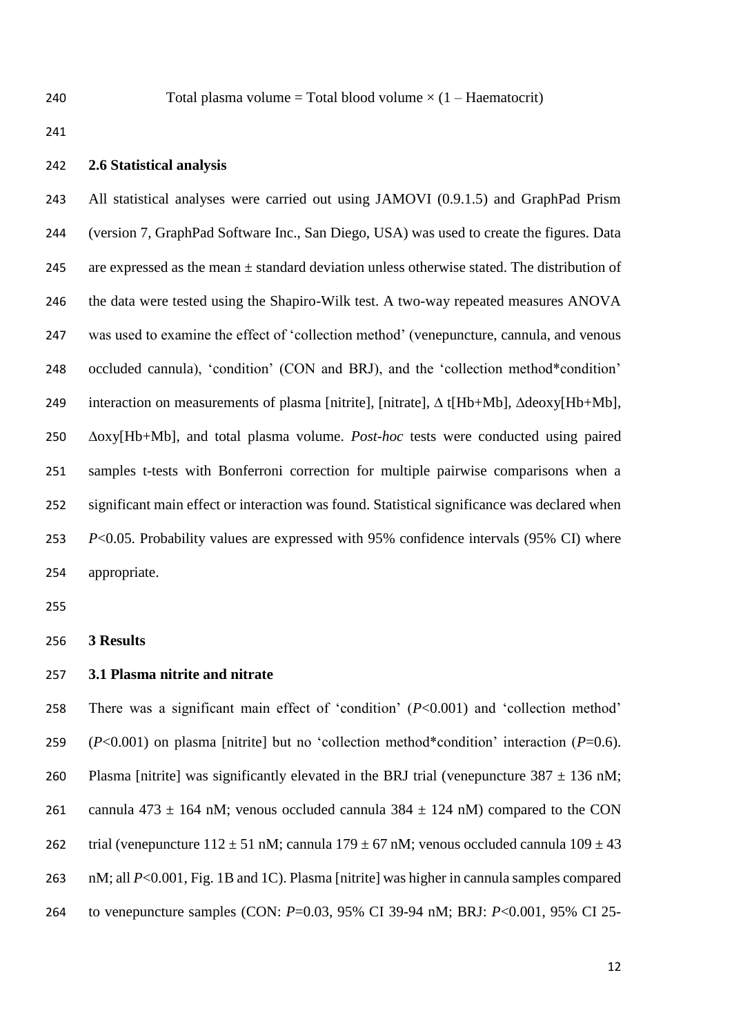240 Total plasma volume = Total blood volume  $\times$  (1 – Haematocrit)

#### **2.6 Statistical analysis**

 All statistical analyses were carried out using JAMOVI (0.9.1.5) and GraphPad Prism (version 7, GraphPad Software Inc., San Diego, USA) was used to create the figures. Data 245 are expressed as the mean  $\pm$  standard deviation unless otherwise stated. The distribution of 246 the data were tested using the Shapiro-Wilk test. A two-way repeated measures ANOVA was used to examine the effect of 'collection method' (venepuncture, cannula, and venous occluded cannula), 'condition' (CON and BRJ), and the 'collection method\*condition' interaction on measurements of plasma [nitrite], [nitrate], ∆ t[Hb+Mb], ∆deoxy[Hb+Mb], ∆oxy[Hb+Mb], and total plasma volume. *Post-hoc* tests were conducted using paired samples t-tests with Bonferroni correction for multiple pairwise comparisons when a significant main effect or interaction was found. Statistical significance was declared when *P*<0.05. Probability values are expressed with 95% confidence intervals (95% CI) where appropriate.

**3 Results**

# **3.1 Plasma nitrite and nitrate**

 There was a significant main effect of 'condition' (*P*<0.001) and 'collection method' (*P*<0.001) on plasma [nitrite] but no 'collection method\*condition' interaction (*P*=0.6). 260 Plasma [nitrite] was significantly elevated in the BRJ trial (venepuncture  $387 \pm 136$  nM; 261 cannula 473  $\pm$  164 nM; venous occluded cannula 384  $\pm$  124 nM) compared to the CON 262 trial (venepuncture  $112 \pm 51$  nM; cannula  $179 \pm 67$  nM; venous occluded cannula  $109 \pm 43$  nM; all *P*<0.001, Fig. 1B and 1C). Plasma [nitrite] was higher in cannula samples compared to venepuncture samples (CON: *P*=0.03, 95% CI 39-94 nM; BRJ: *P*<0.001, 95% CI 25-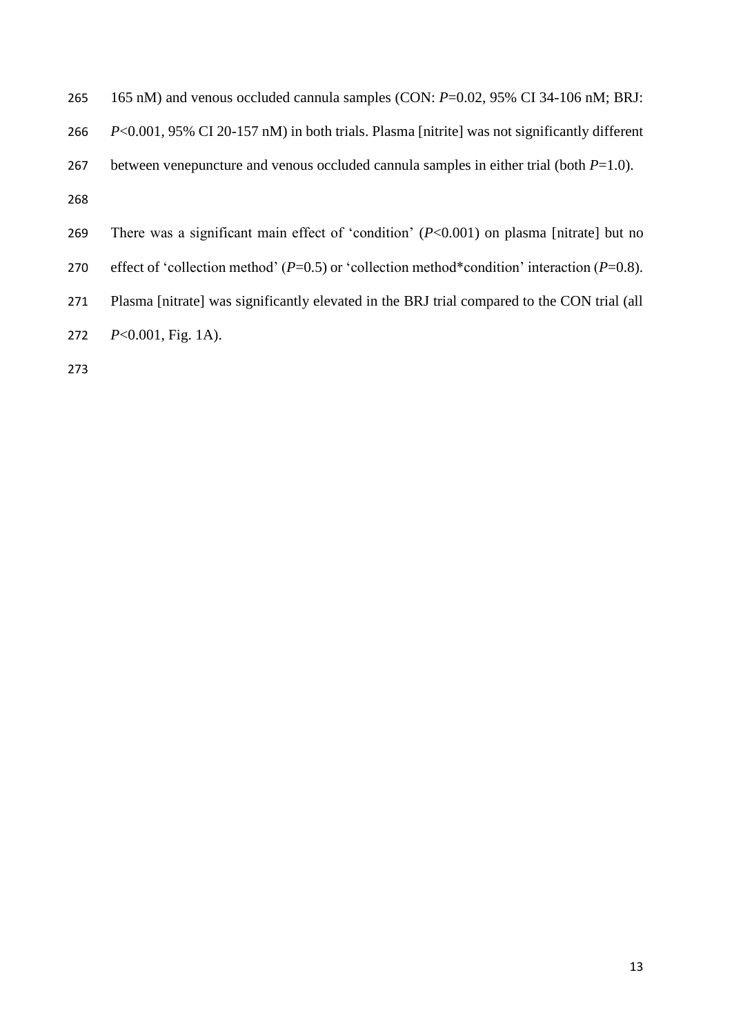| 265 | 165 nM) and venous occluded cannula samples (CON: $P=0.02$ , 95% CI 34-106 nM; BRJ:                 |
|-----|-----------------------------------------------------------------------------------------------------|
| 266 | $P<0.001$ , 95% CI 20-157 nM) in both trials. Plasma [nitrite] was not significantly different      |
| 267 | between venepuncture and venous occluded cannula samples in either trial (both $P=1.0$ ).           |
| 268 |                                                                                                     |
| 269 | There was a significant main effect of 'condition' $(P<0.001)$ on plasma [nitrate] but no           |
| 270 | effect of 'collection method' ( $P=0.5$ ) or 'collection method*condition' interaction ( $P=0.8$ ). |
| 271 | Plasma [nitrate] was significantly elevated in the BRJ trial compared to the CON trial (all         |
| 272 | $P<0.001$ , Fig. 1A).                                                                               |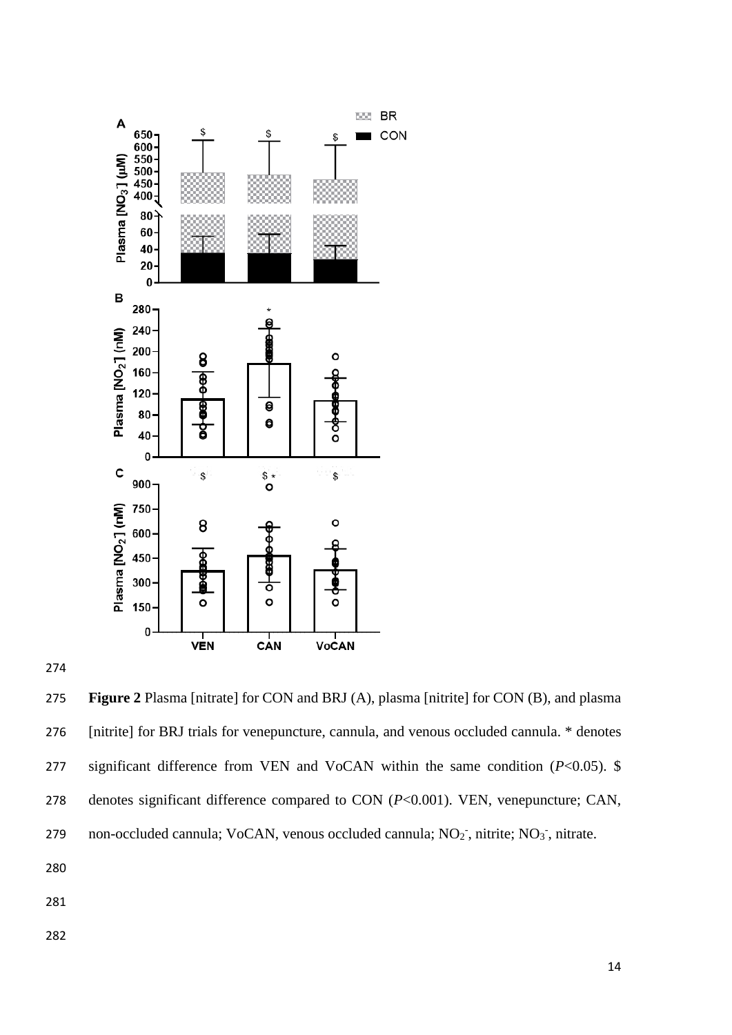

 **Figure 2** Plasma [nitrate] for CON and BRJ (A), plasma [nitrite] for CON (B), and plasma [nitrite] for BRJ trials for venepuncture, cannula, and venous occluded cannula. \* denotes significant difference from VEN and VoCAN within the same condition (*P*<0.05). \$ denotes significant difference compared to CON (*P*<0.001). VEN, venepuncture; CAN, 279 non-occluded cannula; VoCAN, venous occluded cannula;  $NO_2$ <sup>-</sup>, nitrite;  $NO_3$ <sup>-</sup>, nitrate.

- 
-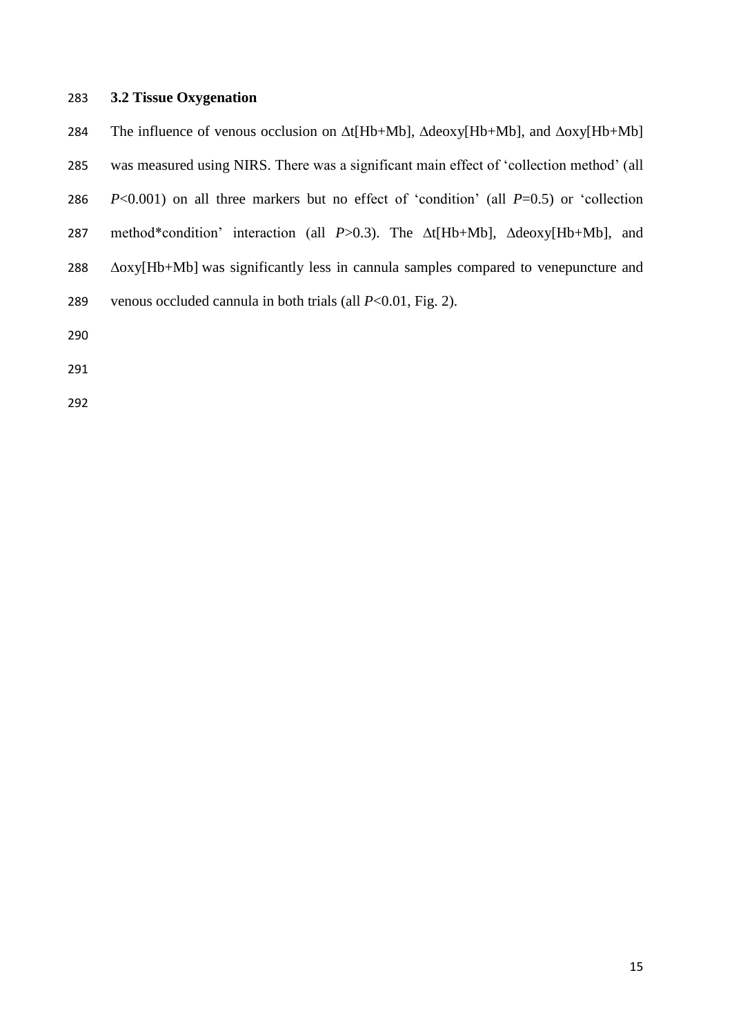## **3.2 Tissue Oxygenation**

 The influence of venous occlusion on ∆t[Hb+Mb], ∆deoxy[Hb+Mb], and ∆oxy[Hb+Mb] was measured using NIRS. There was a significant main effect of 'collection method' (all *P*<0.001) on all three markers but no effect of 'condition' (all *P*=0.5) or 'collection method\*condition' interaction (all *P*>0.3). The ∆t[Hb+Mb], ∆deoxy[Hb+Mb], and ∆oxy[Hb+Mb] was significantly less in cannula samples compared to venepuncture and venous occluded cannula in both trials (all *P*<0.01, Fig. 2).

- 
- 
-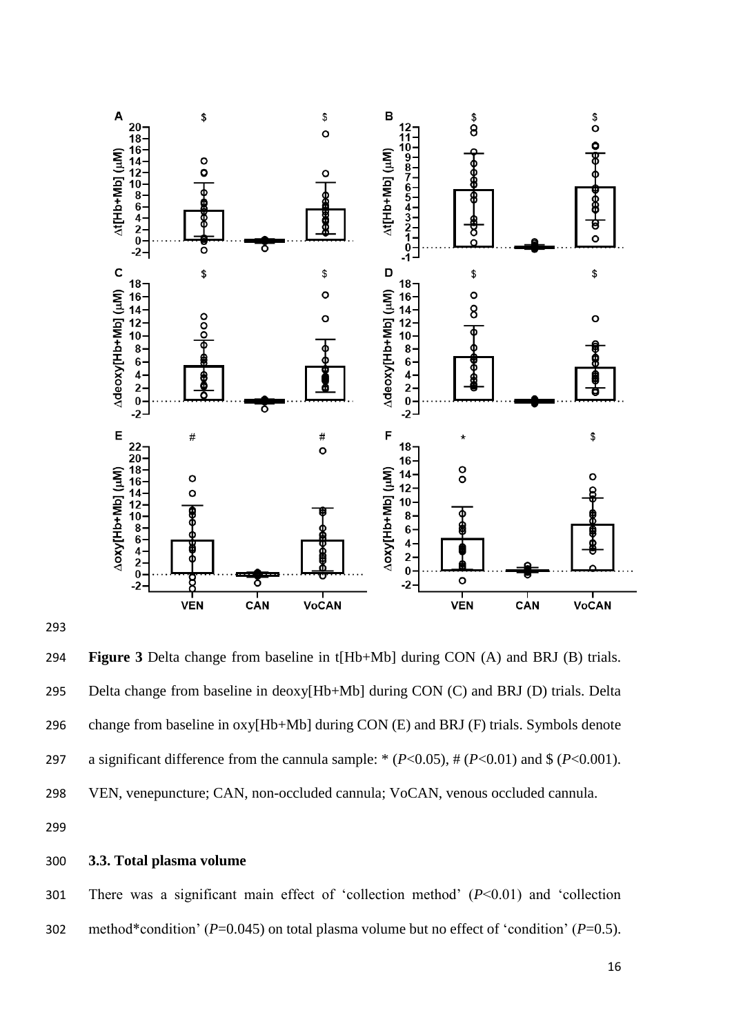



 **Figure 3** Delta change from baseline in t[Hb+Mb] during CON (A) and BRJ (B) trials. Delta change from baseline in deoxy[Hb+Mb] during CON (C) and BRJ (D) trials. Delta change from baseline in oxy[Hb+Mb] during CON (E) and BRJ (F) trials. Symbols denote a significant difference from the cannula sample: \* (*P*<0.05), # (*P*<0.01) and \$ (*P*<0.001). VEN, venepuncture; CAN, non-occluded cannula; VoCAN, venous occluded cannula.

# **3.3. Total plasma volume**

 There was a significant main effect of 'collection method' (*P*<0.01) and 'collection method\*condition' (*P*=0.045) on total plasma volume but no effect of 'condition' (*P*=0.5).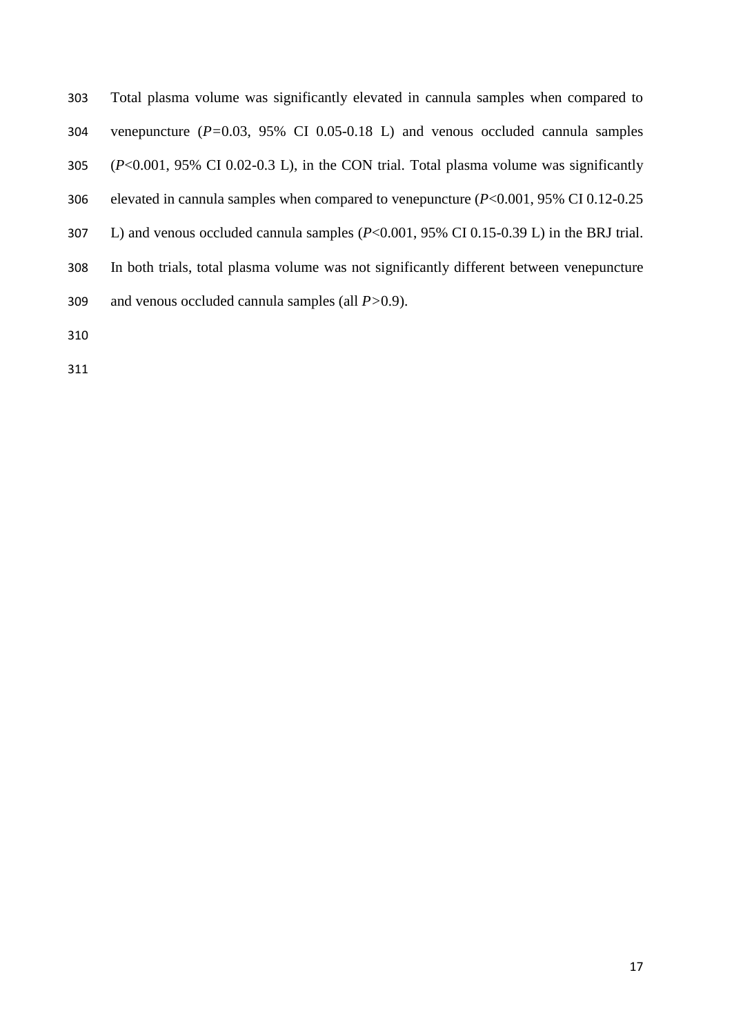| 303 | Total plasma volume was significantly elevated in cannula samples when compared to                         |
|-----|------------------------------------------------------------------------------------------------------------|
| 304 | venepuncture $(P=0.03, 95\% \text{ CI } 0.05-0.18 \text{ L})$ and venous occluded cannula samples          |
| 305 | $(P<0.001, 95\% \text{ CI } 0.02-0.3 \text{ L})$ , in the CON trial. Total plasma volume was significantly |
| 306 | elevated in cannula samples when compared to venepuncture $(P<0.001, 95\% \text{ CI } 0.12\text{-}0.25$    |
| 307 | L) and venous occluded cannula samples $(P<0.001, 95\% \text{ CI } 0.15-0.39 \text{ L})$ in the BRJ trial. |
| 308 | In both trials, total plasma volume was not significantly different between venepuncture                   |
| 309 | and venous occluded cannula samples (all $P > 0.9$ ).                                                      |
|     |                                                                                                            |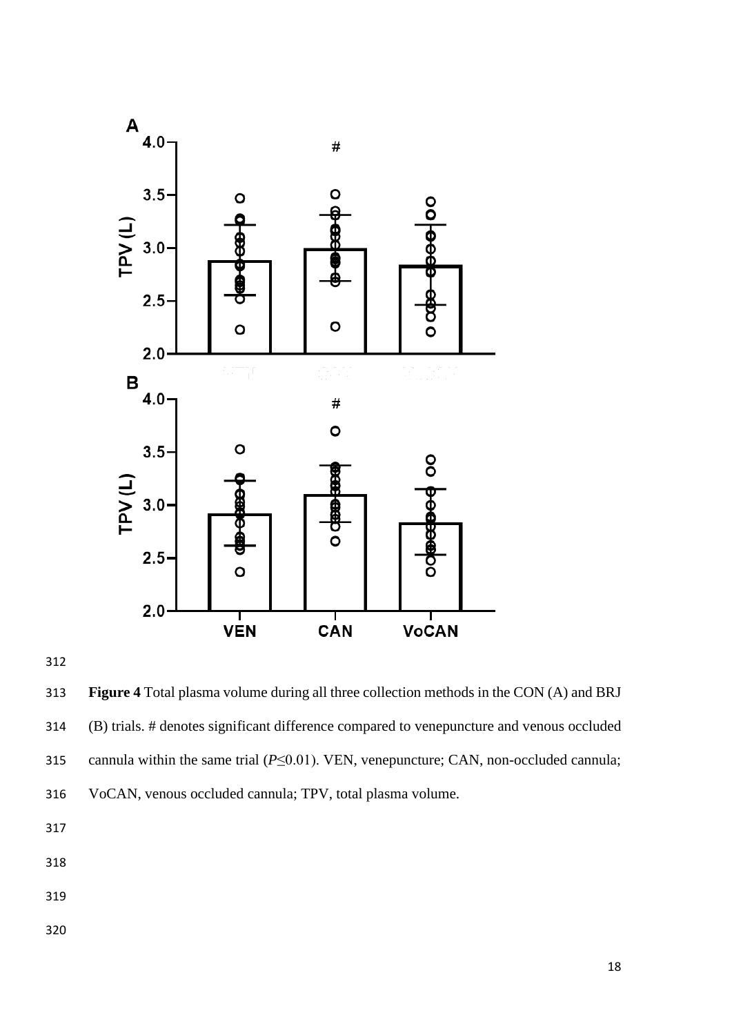



 **Figure 4** Total plasma volume during all three collection methods in the CON (A) and BRJ (B) trials. # denotes significant difference compared to venepuncture and venous occluded cannula within the same trial (*P*≤0.01). VEN, venepuncture; CAN, non-occluded cannula; VoCAN, venous occluded cannula; TPV, total plasma volume.

- 
- 
-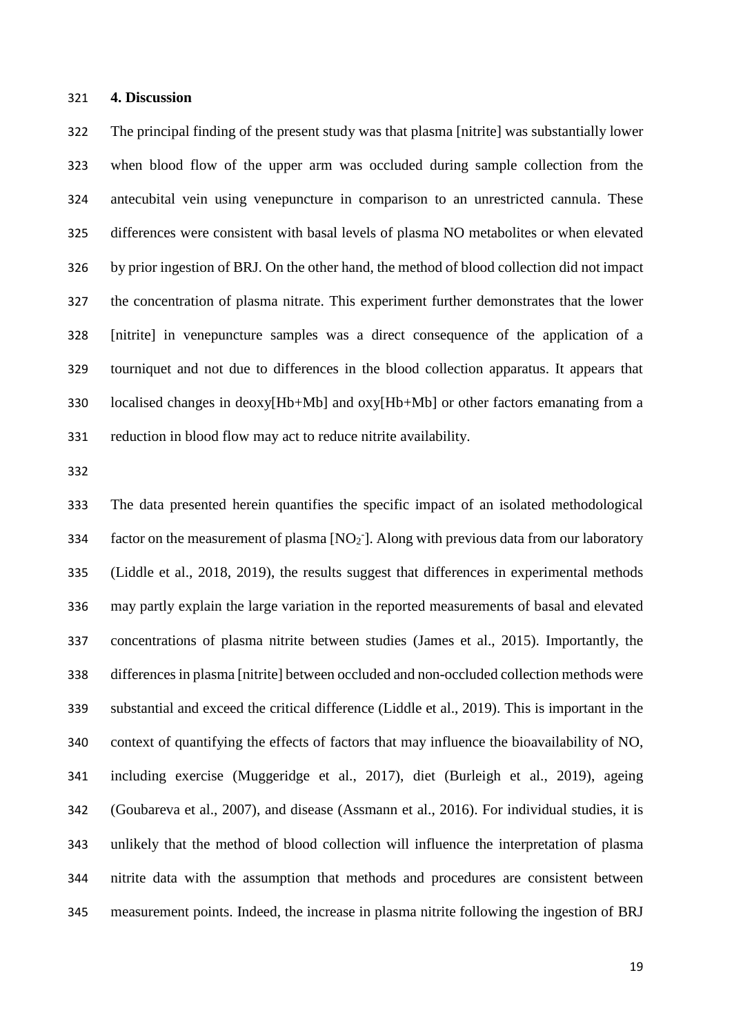#### **4. Discussion**

 The principal finding of the present study was that plasma [nitrite] was substantially lower when blood flow of the upper arm was occluded during sample collection from the antecubital vein using venepuncture in comparison to an unrestricted cannula. These differences were consistent with basal levels of plasma NO metabolites or when elevated by prior ingestion of BRJ. On the other hand, the method of blood collection did not impact the concentration of plasma nitrate. This experiment further demonstrates that the lower [nitrite] in venepuncture samples was a direct consequence of the application of a tourniquet and not due to differences in the blood collection apparatus. It appears that localised changes in deoxy[Hb+Mb] and oxy[Hb+Mb] or other factors emanating from a reduction in blood flow may act to reduce nitrite availability.

 The data presented herein quantifies the specific impact of an isolated methodological 334 factor on the measurement of plasma  $[NO<sub>2</sub>$ ]. Along with previous data from our laboratory (Liddle et al., 2018, 2019), the results suggest that differences in experimental methods may partly explain the large variation in the reported measurements of basal and elevated concentrations of plasma nitrite between studies (James et al., 2015). Importantly, the differences in plasma [nitrite] between occluded and non-occluded collection methods were substantial and exceed the critical difference (Liddle et al., 2019). This is important in the context of quantifying the effects of factors that may influence the bioavailability of NO, including exercise (Muggeridge et al., 2017), diet (Burleigh et al., 2019), ageing (Goubareva et al., 2007), and disease (Assmann et al., 2016). For individual studies, it is unlikely that the method of blood collection will influence the interpretation of plasma nitrite data with the assumption that methods and procedures are consistent between measurement points. Indeed, the increase in plasma nitrite following the ingestion of BRJ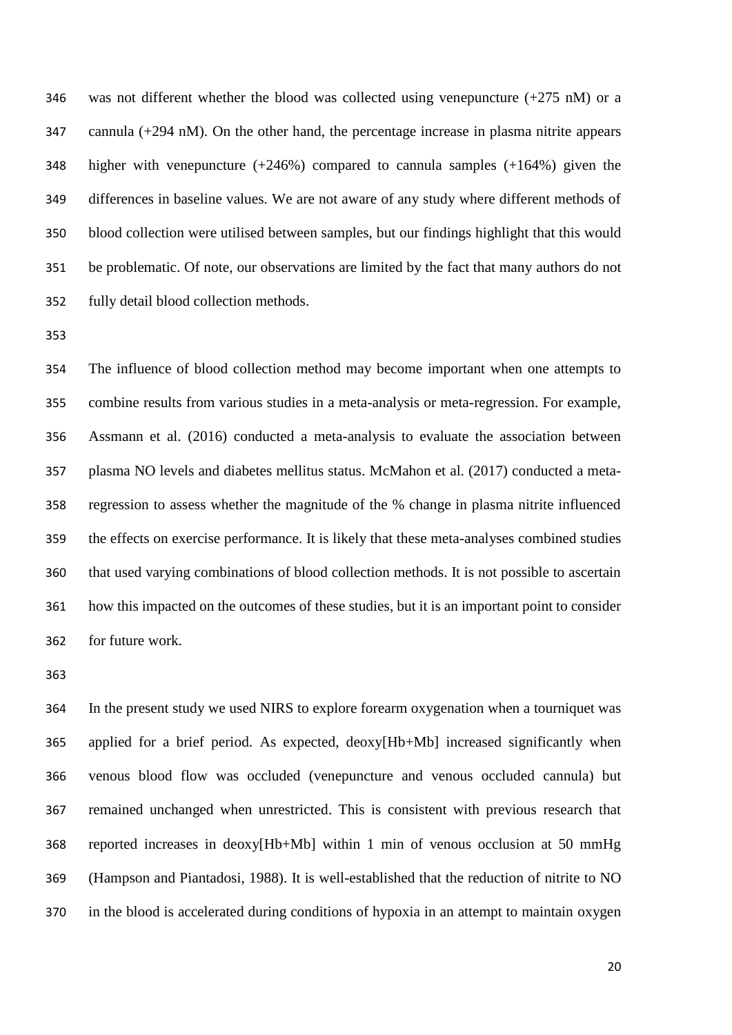346 was not different whether the blood was collected using venepuncture  $(+275 \text{ nM})$  or a cannula (+294 nM). On the other hand, the percentage increase in plasma nitrite appears higher with venepuncture (+246%) compared to cannula samples (+164%) given the differences in baseline values. We are not aware of any study where different methods of blood collection were utilised between samples, but our findings highlight that this would be problematic. Of note, our observations are limited by the fact that many authors do not fully detail blood collection methods.

 The influence of blood collection method may become important when one attempts to combine results from various studies in a meta-analysis or meta-regression. For example, Assmann et al. (2016) conducted a meta-analysis to evaluate the association between plasma NO levels and diabetes mellitus status. McMahon et al. (2017) conducted a meta- regression to assess whether the magnitude of the % change in plasma nitrite influenced the effects on exercise performance. It is likely that these meta-analyses combined studies that used varying combinations of blood collection methods. It is not possible to ascertain how this impacted on the outcomes of these studies, but it is an important point to consider for future work.

 In the present study we used NIRS to explore forearm oxygenation when a tourniquet was applied for a brief period. As expected, deoxy[Hb+Mb] increased significantly when venous blood flow was occluded (venepuncture and venous occluded cannula) but remained unchanged when unrestricted. This is consistent with previous research that reported increases in deoxy[Hb+Mb] within 1 min of venous occlusion at 50 mmHg (Hampson and Piantadosi, 1988). It is well-established that the reduction of nitrite to NO in the blood is accelerated during conditions of hypoxia in an attempt to maintain oxygen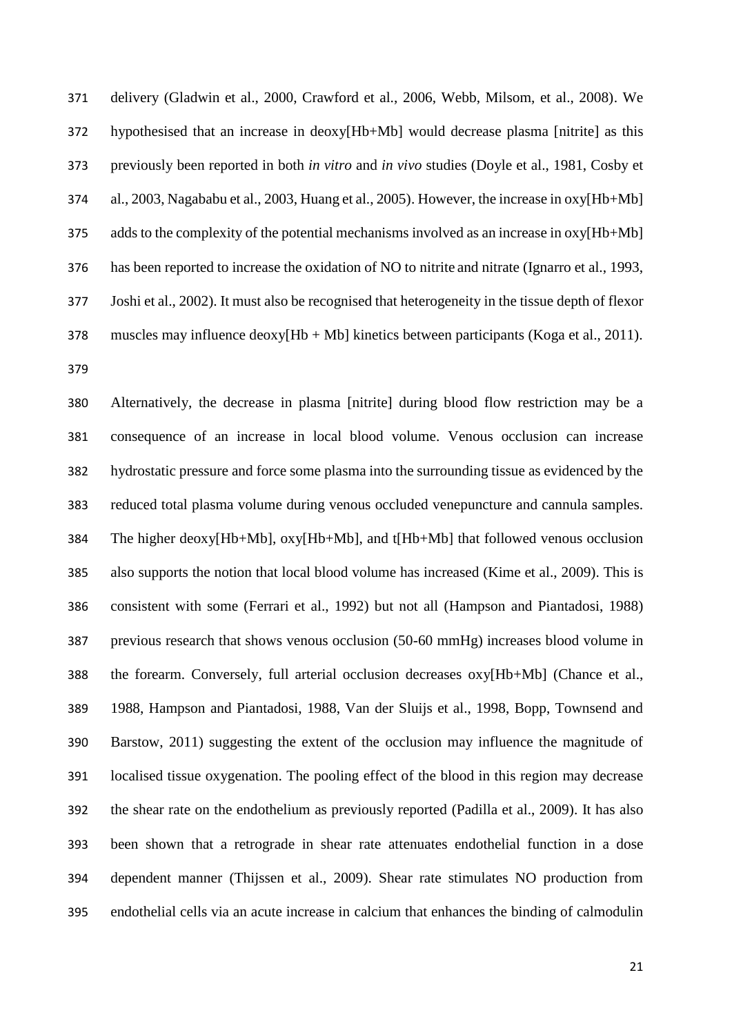delivery (Gladwin et al., 2000, Crawford et al., 2006, Webb, Milsom, et al., 2008). We hypothesised that an increase in deoxy[Hb+Mb] would decrease plasma [nitrite] as this previously been reported in both *in vitro* and *in vivo* studies (Doyle et al., 1981, Cosby et al., 2003, Nagababu et al., 2003, Huang et al., 2005). However, the increase in oxy[Hb+Mb] adds to the complexity of the potential mechanisms involved as an increase in oxy[Hb+Mb] has been reported to increase the oxidation of NO to nitrite and nitrate (Ignarro et al., 1993, Joshi et al., 2002). It must also be recognised that heterogeneity in the tissue depth of flexor 378 muscles may influence  $deoxy[Hb + Mb]$  kinetics between participants (Koga et al., 2011). 

 Alternatively, the decrease in plasma [nitrite] during blood flow restriction may be a consequence of an increase in local blood volume. Venous occlusion can increase hydrostatic pressure and force some plasma into the surrounding tissue as evidenced by the reduced total plasma volume during venous occluded venepuncture and cannula samples. The higher deoxy[Hb+Mb], oxy[Hb+Mb], and t[Hb+Mb] that followed venous occlusion also supports the notion that local blood volume has increased (Kime et al., 2009). This is consistent with some (Ferrari et al., 1992) but not all (Hampson and Piantadosi, 1988) previous research that shows venous occlusion (50-60 mmHg) increases blood volume in the forearm. Conversely, full arterial occlusion decreases oxy[Hb+Mb] (Chance et al., 1988, Hampson and Piantadosi, 1988, Van der Sluijs et al., 1998, Bopp, Townsend and Barstow, 2011) suggesting the extent of the occlusion may influence the magnitude of localised tissue oxygenation. The pooling effect of the blood in this region may decrease the shear rate on the endothelium as previously reported (Padilla et al., 2009). It has also been shown that a retrograde in shear rate attenuates endothelial function in a dose dependent manner (Thijssen et al., 2009). Shear rate stimulates NO production from endothelial cells via an acute increase in calcium that enhances the binding of calmodulin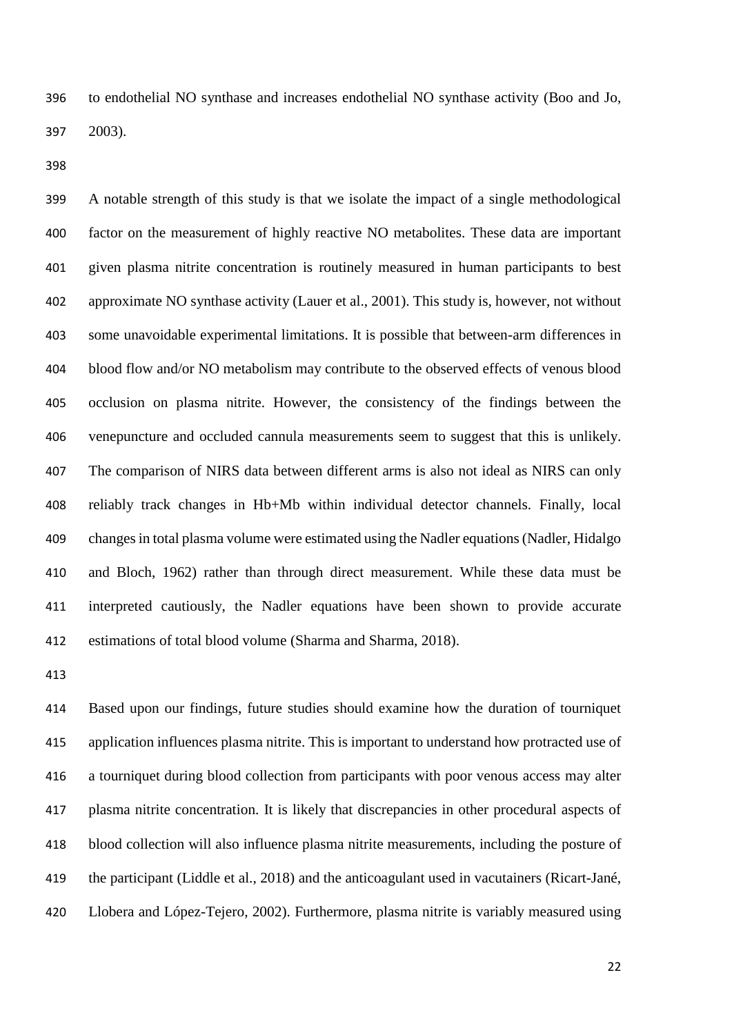to endothelial NO synthase and increases endothelial NO synthase activity (Boo and Jo, 2003).

 A notable strength of this study is that we isolate the impact of a single methodological factor on the measurement of highly reactive NO metabolites. These data are important given plasma nitrite concentration is routinely measured in human participants to best approximate NO synthase activity (Lauer et al., 2001). This study is, however, not without some unavoidable experimental limitations. It is possible that between-arm differences in blood flow and/or NO metabolism may contribute to the observed effects of venous blood occlusion on plasma nitrite. However, the consistency of the findings between the venepuncture and occluded cannula measurements seem to suggest that this is unlikely. The comparison of NIRS data between different arms is also not ideal as NIRS can only reliably track changes in Hb+Mb within individual detector channels. Finally, local changes in total plasma volume were estimated using the Nadler equations (Nadler, Hidalgo and Bloch, 1962) rather than through direct measurement. While these data must be interpreted cautiously, the Nadler equations have been shown to provide accurate estimations of total blood volume (Sharma and Sharma, 2018).

 Based upon our findings, future studies should examine how the duration of tourniquet application influences plasma nitrite. This is important to understand how protracted use of a tourniquet during blood collection from participants with poor venous access may alter plasma nitrite concentration. It is likely that discrepancies in other procedural aspects of blood collection will also influence plasma nitrite measurements, including the posture of the participant (Liddle et al., 2018) and the anticoagulant used in vacutainers (Ricart-Jané, Llobera and López-Tejero, 2002). Furthermore, plasma nitrite is variably measured using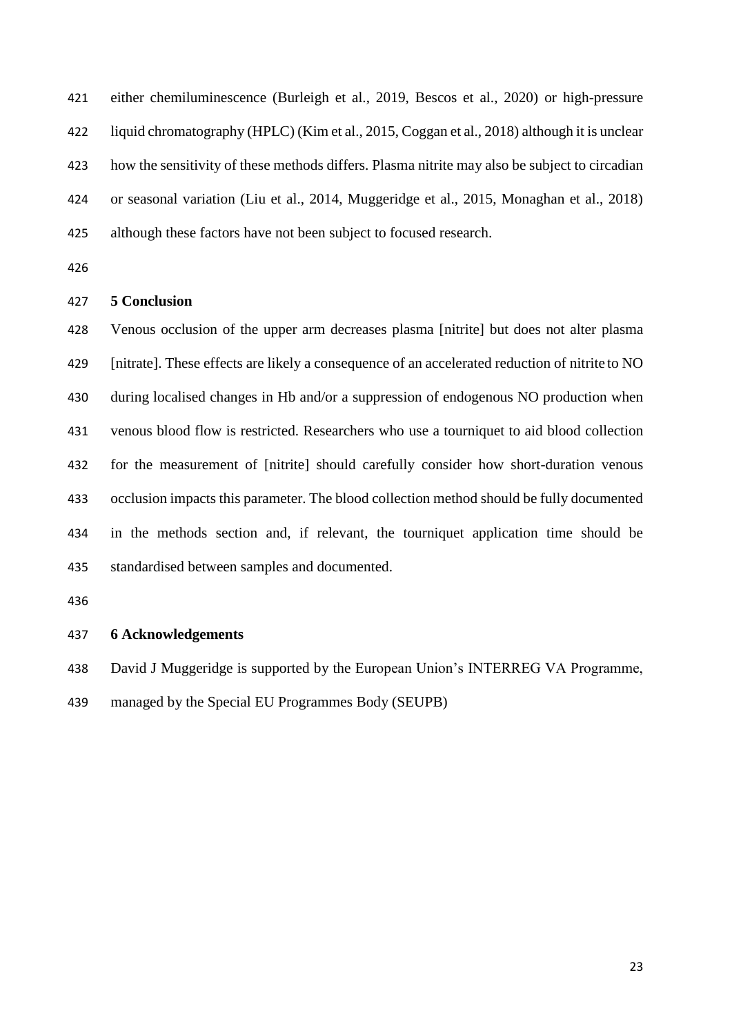either chemiluminescence (Burleigh et al., 2019, Bescos et al., 2020) or high-pressure liquid chromatography (HPLC) (Kim et al., 2015, Coggan et al., 2018) although it is unclear how the sensitivity of these methods differs. Plasma nitrite may also be subject to circadian or seasonal variation (Liu et al., 2014, Muggeridge et al., 2015, Monaghan et al., 2018) although these factors have not been subject to focused research.

#### **5 Conclusion**

 Venous occlusion of the upper arm decreases plasma [nitrite] but does not alter plasma [nitrate]. These effects are likely a consequence of an accelerated reduction of nitrite to NO during localised changes in Hb and/or a suppression of endogenous NO production when venous blood flow is restricted. Researchers who use a tourniquet to aid blood collection for the measurement of [nitrite] should carefully consider how short-duration venous occlusion impacts this parameter. The blood collection method should be fully documented in the methods section and, if relevant, the tourniquet application time should be standardised between samples and documented.

# **6 Acknowledgements**

David J Muggeridge is supported by the European Union's INTERREG VA Programme,

managed by the Special EU Programmes Body (SEUPB)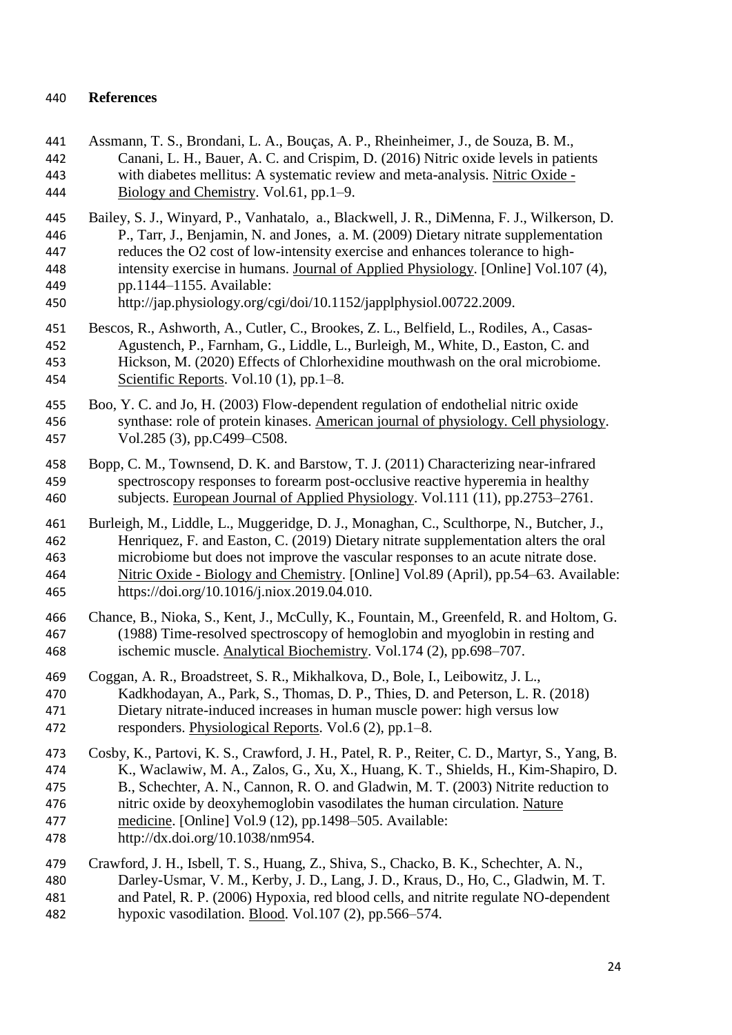# **References**

- Assmann, T. S., Brondani, L. A., Bouças, A. P., Rheinheimer, J., de Souza, B. M., Canani, L. H., Bauer, A. C. and Crispim, D. (2016) Nitric oxide levels in patients with diabetes mellitus: A systematic review and meta-analysis. Nitric Oxide - Biology and Chemistry. Vol.61, pp.1–9. Bailey, S. J., Winyard, P., Vanhatalo, a., Blackwell, J. R., DiMenna, F. J., Wilkerson, D.
- P., Tarr, J., Benjamin, N. and Jones, a. M. (2009) Dietary nitrate supplementation reduces the O2 cost of low-intensity exercise and enhances tolerance to high- intensity exercise in humans. Journal of Applied Physiology. [Online] Vol.107 (4), pp.1144–1155. Available:
- http://jap.physiology.org/cgi/doi/10.1152/japplphysiol.00722.2009.
- Bescos, R., Ashworth, A., Cutler, C., Brookes, Z. L., Belfield, L., Rodiles, A., Casas- Agustench, P., Farnham, G., Liddle, L., Burleigh, M., White, D., Easton, C. and Hickson, M. (2020) Effects of Chlorhexidine mouthwash on the oral microbiome. Scientific Reports. Vol.10 (1), pp.1–8.
- Boo, Y. C. and Jo, H. (2003) Flow-dependent regulation of endothelial nitric oxide synthase: role of protein kinases. American journal of physiology. Cell physiology. Vol.285 (3), pp.C499–C508.
- Bopp, C. M., Townsend, D. K. and Barstow, T. J. (2011) Characterizing near-infrared spectroscopy responses to forearm post-occlusive reactive hyperemia in healthy subjects. European Journal of Applied Physiology. Vol.111 (11), pp.2753–2761.
- Burleigh, M., Liddle, L., Muggeridge, D. J., Monaghan, C., Sculthorpe, N., Butcher, J., Henriquez, F. and Easton, C. (2019) Dietary nitrate supplementation alters the oral microbiome but does not improve the vascular responses to an acute nitrate dose. Nitric Oxide - Biology and Chemistry. [Online] Vol.89 (April), pp.54–63. Available: https://doi.org/10.1016/j.niox.2019.04.010.
- Chance, B., Nioka, S., Kent, J., McCully, K., Fountain, M., Greenfeld, R. and Holtom, G. (1988) Time-resolved spectroscopy of hemoglobin and myoglobin in resting and ischemic muscle. Analytical Biochemistry. Vol.174 (2), pp.698–707.
- Coggan, A. R., Broadstreet, S. R., Mikhalkova, D., Bole, I., Leibowitz, J. L., Kadkhodayan, A., Park, S., Thomas, D. P., Thies, D. and Peterson, L. R. (2018) Dietary nitrate-induced increases in human muscle power: high versus low responders. Physiological Reports. Vol.6 (2), pp.1–8.
- Cosby, K., Partovi, K. S., Crawford, J. H., Patel, R. P., Reiter, C. D., Martyr, S., Yang, B. K., Waclawiw, M. A., Zalos, G., Xu, X., Huang, K. T., Shields, H., Kim-Shapiro, D. B., Schechter, A. N., Cannon, R. O. and Gladwin, M. T. (2003) Nitrite reduction to nitric oxide by deoxyhemoglobin vasodilates the human circulation. Nature medicine. [Online] Vol.9 (12), pp.1498–505. Available: http://dx.doi.org/10.1038/nm954.
- Crawford, J. H., Isbell, T. S., Huang, Z., Shiva, S., Chacko, B. K., Schechter, A. N., Darley-Usmar, V. M., Kerby, J. D., Lang, J. D., Kraus, D., Ho, C., Gladwin, M. T. and Patel, R. P. (2006) Hypoxia, red blood cells, and nitrite regulate NO-dependent hypoxic vasodilation. Blood. Vol.107 (2), pp.566–574.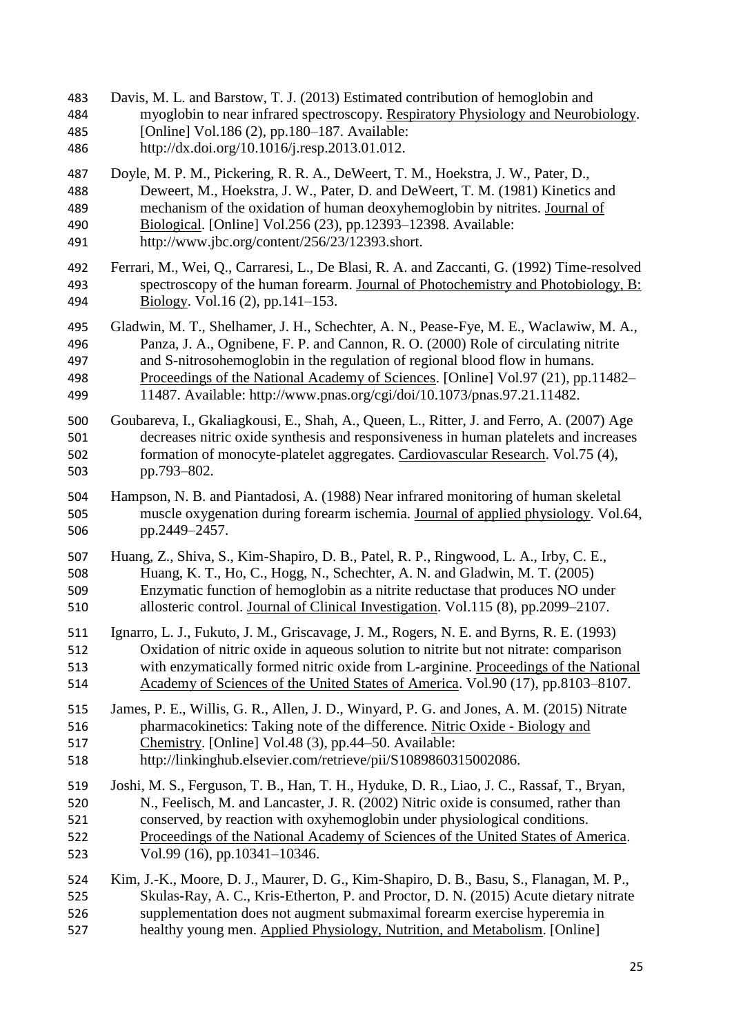Davis, M. L. and Barstow, T. J. (2013) Estimated contribution of hemoglobin and myoglobin to near infrared spectroscopy. Respiratory Physiology and Neurobiology. [Online] Vol.186 (2), pp.180–187. Available: http://dx.doi.org/10.1016/j.resp.2013.01.012. Doyle, M. P. M., Pickering, R. R. A., DeWeert, T. M., Hoekstra, J. W., Pater, D., Deweert, M., Hoekstra, J. W., Pater, D. and DeWeert, T. M. (1981) Kinetics and mechanism of the oxidation of human deoxyhemoglobin by nitrites. Journal of Biological. [Online] Vol.256 (23), pp.12393–12398. Available: http://www.jbc.org/content/256/23/12393.short. Ferrari, M., Wei, Q., Carraresi, L., De Blasi, R. A. and Zaccanti, G. (1992) Time-resolved spectroscopy of the human forearm. Journal of Photochemistry and Photobiology, B: Biology. Vol.16 (2), pp.141–153. Gladwin, M. T., Shelhamer, J. H., Schechter, A. N., Pease-Fye, M. E., Waclawiw, M. A., Panza, J. A., Ognibene, F. P. and Cannon, R. O. (2000) Role of circulating nitrite and S-nitrosohemoglobin in the regulation of regional blood flow in humans. Proceedings of the National Academy of Sciences. [Online] Vol.97 (21), pp.11482– 11487. Available: http://www.pnas.org/cgi/doi/10.1073/pnas.97.21.11482. Goubareva, I., Gkaliagkousi, E., Shah, A., Queen, L., Ritter, J. and Ferro, A. (2007) Age decreases nitric oxide synthesis and responsiveness in human platelets and increases formation of monocyte-platelet aggregates. Cardiovascular Research. Vol.75 (4), pp.793–802. Hampson, N. B. and Piantadosi, A. (1988) Near infrared monitoring of human skeletal muscle oxygenation during forearm ischemia. Journal of applied physiology. Vol.64, pp.2449–2457. Huang, Z., Shiva, S., Kim-Shapiro, D. B., Patel, R. P., Ringwood, L. A., Irby, C. E., Huang, K. T., Ho, C., Hogg, N., Schechter, A. N. and Gladwin, M. T. (2005) Enzymatic function of hemoglobin as a nitrite reductase that produces NO under allosteric control. Journal of Clinical Investigation. Vol.115 (8), pp.2099–2107. Ignarro, L. J., Fukuto, J. M., Griscavage, J. M., Rogers, N. E. and Byrns, R. E. (1993) Oxidation of nitric oxide in aqueous solution to nitrite but not nitrate: comparison with enzymatically formed nitric oxide from L-arginine. Proceedings of the National Academy of Sciences of the United States of America. Vol.90 (17), pp.8103–8107. James, P. E., Willis, G. R., Allen, J. D., Winyard, P. G. and Jones, A. M. (2015) Nitrate pharmacokinetics: Taking note of the difference. Nitric Oxide - Biology and Chemistry. [Online] Vol.48 (3), pp.44–50. Available: http://linkinghub.elsevier.com/retrieve/pii/S1089860315002086. Joshi, M. S., Ferguson, T. B., Han, T. H., Hyduke, D. R., Liao, J. C., Rassaf, T., Bryan, N., Feelisch, M. and Lancaster, J. R. (2002) Nitric oxide is consumed, rather than conserved, by reaction with oxyhemoglobin under physiological conditions. Proceedings of the National Academy of Sciences of the United States of America. Vol.99 (16), pp.10341–10346. Kim, J.-K., Moore, D. J., Maurer, D. G., Kim-Shapiro, D. B., Basu, S., Flanagan, M. P., Skulas-Ray, A. C., Kris-Etherton, P. and Proctor, D. N. (2015) Acute dietary nitrate supplementation does not augment submaximal forearm exercise hyperemia in healthy young men. Applied Physiology, Nutrition, and Metabolism. [Online]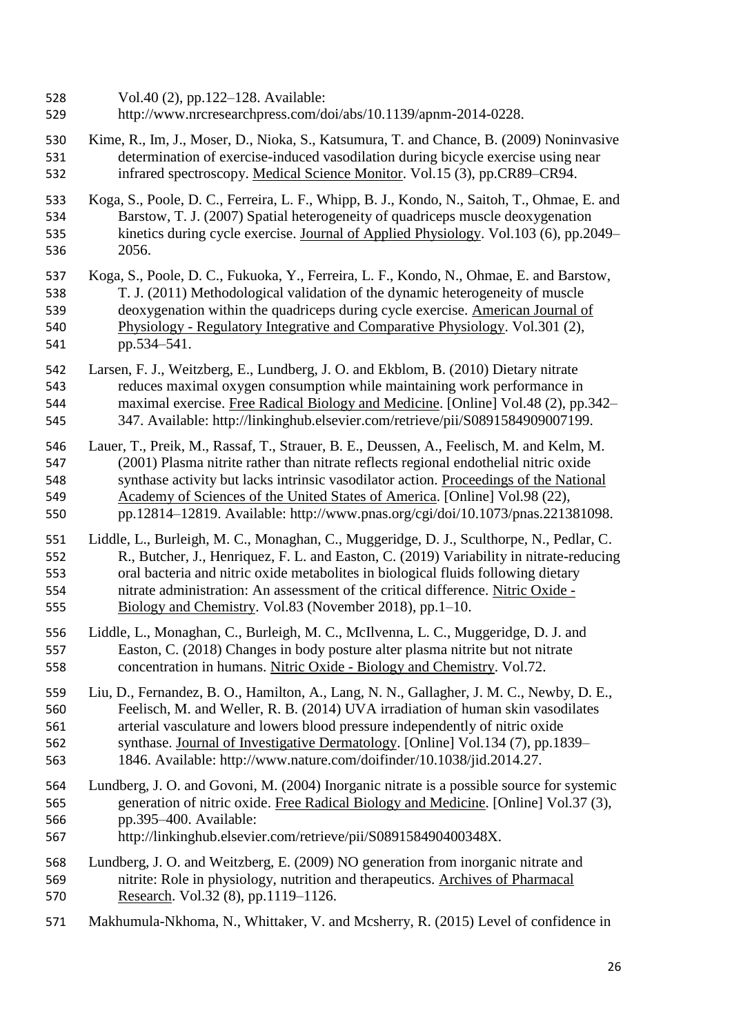- Vol.40 (2), pp.122–128. Available:
- http://www.nrcresearchpress.com/doi/abs/10.1139/apnm-2014-0228.
- Kime, R., Im, J., Moser, D., Nioka, S., Katsumura, T. and Chance, B. (2009) Noninvasive determination of exercise-induced vasodilation during bicycle exercise using near infrared spectroscopy. Medical Science Monitor. Vol.15 (3), pp.CR89–CR94.
- Koga, S., Poole, D. C., Ferreira, L. F., Whipp, B. J., Kondo, N., Saitoh, T., Ohmae, E. and Barstow, T. J. (2007) Spatial heterogeneity of quadriceps muscle deoxygenation kinetics during cycle exercise. Journal of Applied Physiology. Vol.103 (6), pp.2049– 2056.
- Koga, S., Poole, D. C., Fukuoka, Y., Ferreira, L. F., Kondo, N., Ohmae, E. and Barstow, T. J. (2011) Methodological validation of the dynamic heterogeneity of muscle deoxygenation within the quadriceps during cycle exercise. American Journal of Physiology - Regulatory Integrative and Comparative Physiology. Vol.301 (2), pp.534–541.
- Larsen, F. J., Weitzberg, E., Lundberg, J. O. and Ekblom, B. (2010) Dietary nitrate reduces maximal oxygen consumption while maintaining work performance in maximal exercise. Free Radical Biology and Medicine. [Online] Vol.48 (2), pp.342– 347. Available: http://linkinghub.elsevier.com/retrieve/pii/S0891584909007199.
- Lauer, T., Preik, M., Rassaf, T., Strauer, B. E., Deussen, A., Feelisch, M. and Kelm, M. (2001) Plasma nitrite rather than nitrate reflects regional endothelial nitric oxide synthase activity but lacks intrinsic vasodilator action. Proceedings of the National Academy of Sciences of the United States of America. [Online] Vol.98 (22), pp.12814–12819. Available: http://www.pnas.org/cgi/doi/10.1073/pnas.221381098.
- Liddle, L., Burleigh, M. C., Monaghan, C., Muggeridge, D. J., Sculthorpe, N., Pedlar, C. R., Butcher, J., Henriquez, F. L. and Easton, C. (2019) Variability in nitrate-reducing oral bacteria and nitric oxide metabolites in biological fluids following dietary nitrate administration: An assessment of the critical difference. Nitric Oxide - Biology and Chemistry. Vol.83 (November 2018), pp.1–10.
- Liddle, L., Monaghan, C., Burleigh, M. C., McIlvenna, L. C., Muggeridge, D. J. and Easton, C. (2018) Changes in body posture alter plasma nitrite but not nitrate concentration in humans. Nitric Oxide - Biology and Chemistry. Vol.72.
- Liu, D., Fernandez, B. O., Hamilton, A., Lang, N. N., Gallagher, J. M. C., Newby, D. E., Feelisch, M. and Weller, R. B. (2014) UVA irradiation of human skin vasodilates arterial vasculature and lowers blood pressure independently of nitric oxide synthase. Journal of Investigative Dermatology. [Online] Vol.134 (7), pp.1839–
- 1846. Available: http://www.nature.com/doifinder/10.1038/jid.2014.27.
- Lundberg, J. O. and Govoni, M. (2004) Inorganic nitrate is a possible source for systemic generation of nitric oxide. Free Radical Biology and Medicine. [Online] Vol.37 (3), pp.395–400. Available:
- http://linkinghub.elsevier.com/retrieve/pii/S089158490400348X.
- Lundberg, J. O. and Weitzberg, E. (2009) NO generation from inorganic nitrate and nitrite: Role in physiology, nutrition and therapeutics. Archives of Pharmacal Research. Vol.32 (8), pp.1119–1126.
- Makhumula-Nkhoma, N., Whittaker, V. and Mcsherry, R. (2015) Level of confidence in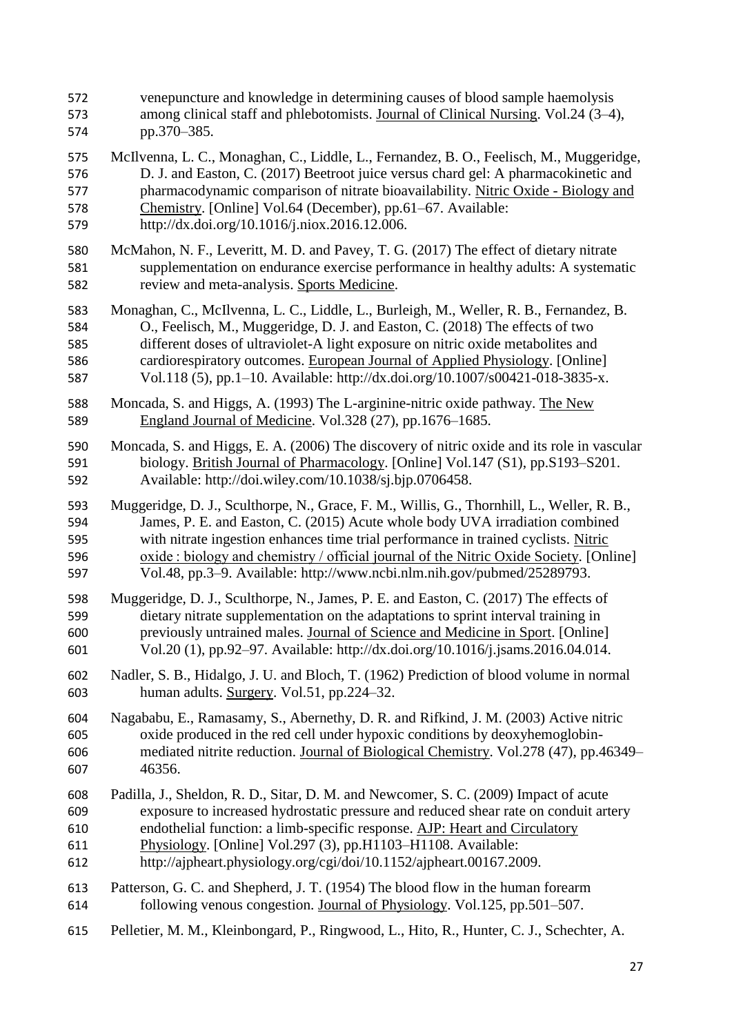venepuncture and knowledge in determining causes of blood sample haemolysis among clinical staff and phlebotomists. Journal of Clinical Nursing. Vol.24 (3–4), pp.370–385. McIlvenna, L. C., Monaghan, C., Liddle, L., Fernandez, B. O., Feelisch, M., Muggeridge, D. J. and Easton, C. (2017) Beetroot juice versus chard gel: A pharmacokinetic and pharmacodynamic comparison of nitrate bioavailability. Nitric Oxide - Biology and Chemistry. [Online] Vol.64 (December), pp.61–67. Available: http://dx.doi.org/10.1016/j.niox.2016.12.006. McMahon, N. F., Leveritt, M. D. and Pavey, T. G. (2017) The effect of dietary nitrate supplementation on endurance exercise performance in healthy adults: A systematic review and meta-analysis. Sports Medicine. Monaghan, C., McIlvenna, L. C., Liddle, L., Burleigh, M., Weller, R. B., Fernandez, B. O., Feelisch, M., Muggeridge, D. J. and Easton, C. (2018) The effects of two different doses of ultraviolet-A light exposure on nitric oxide metabolites and cardiorespiratory outcomes. European Journal of Applied Physiology. [Online] Vol.118 (5), pp.1–10. Available: http://dx.doi.org/10.1007/s00421-018-3835-x. Moncada, S. and Higgs, A. (1993) The L-arginine-nitric oxide pathway. The New England Journal of Medicine. Vol.328 (27), pp.1676–1685. Moncada, S. and Higgs, E. A. (2006) The discovery of nitric oxide and its role in vascular biology. British Journal of Pharmacology. [Online] Vol.147 (S1), pp.S193–S201. Available: http://doi.wiley.com/10.1038/sj.bjp.0706458. Muggeridge, D. J., Sculthorpe, N., Grace, F. M., Willis, G., Thornhill, L., Weller, R. B., James, P. E. and Easton, C. (2015) Acute whole body UVA irradiation combined with nitrate ingestion enhances time trial performance in trained cyclists. Nitric oxide : biology and chemistry / official journal of the Nitric Oxide Society. [Online] Vol.48, pp.3–9. Available: http://www.ncbi.nlm.nih.gov/pubmed/25289793. Muggeridge, D. J., Sculthorpe, N., James, P. E. and Easton, C. (2017) The effects of dietary nitrate supplementation on the adaptations to sprint interval training in previously untrained males. Journal of Science and Medicine in Sport. [Online] Vol.20 (1), pp.92–97. Available: http://dx.doi.org/10.1016/j.jsams.2016.04.014. Nadler, S. B., Hidalgo, J. U. and Bloch, T. (1962) Prediction of blood volume in normal human adults. Surgery. Vol.51, pp.224–32. Nagababu, E., Ramasamy, S., Abernethy, D. R. and Rifkind, J. M. (2003) Active nitric oxide produced in the red cell under hypoxic conditions by deoxyhemoglobin- mediated nitrite reduction. Journal of Biological Chemistry. Vol.278 (47), pp.46349– 46356. Padilla, J., Sheldon, R. D., Sitar, D. M. and Newcomer, S. C. (2009) Impact of acute exposure to increased hydrostatic pressure and reduced shear rate on conduit artery endothelial function: a limb-specific response. AJP: Heart and Circulatory Physiology. [Online] Vol.297 (3), pp.H1103–H1108. Available: http://ajpheart.physiology.org/cgi/doi/10.1152/ajpheart.00167.2009. Patterson, G. C. and Shepherd, J. T. (1954) The blood flow in the human forearm following venous congestion. Journal of Physiology. Vol.125, pp.501–507. Pelletier, M. M., Kleinbongard, P., Ringwood, L., Hito, R., Hunter, C. J., Schechter, A.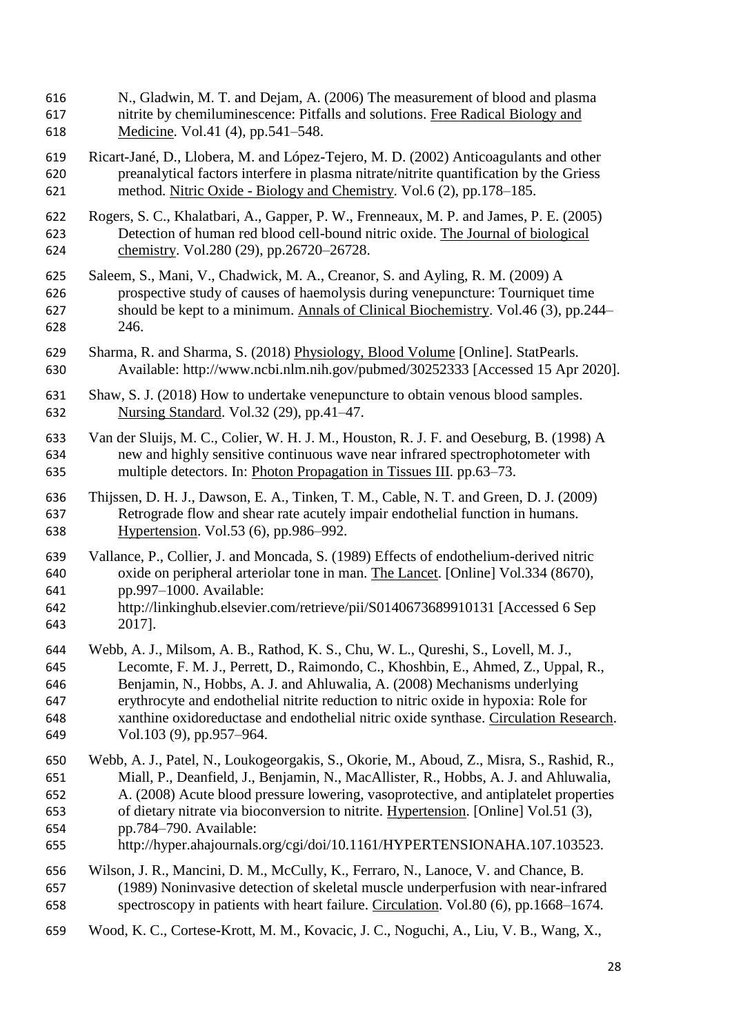| 616 | N., Gladwin, M. T. and Dejam, A. (2006) The measurement of blood and plasma               |
|-----|-------------------------------------------------------------------------------------------|
| 617 | nitrite by chemiluminescence: Pitfalls and solutions. Free Radical Biology and            |
| 618 | Medicine. Vol.41 (4), pp.541–548.                                                         |
| 619 | Ricart-Jané, D., Llobera, M. and López-Tejero, M. D. (2002) Anticoagulants and other      |
| 620 | preanalytical factors interfere in plasma nitrate/nitrite quantification by the Griess    |
| 621 | method. Nitric Oxide - Biology and Chemistry. Vol.6 (2), pp.178–185.                      |
| 622 | Rogers, S. C., Khalatbari, A., Gapper, P. W., Frenneaux, M. P. and James, P. E. (2005)    |
| 623 | Detection of human red blood cell-bound nitric oxide. The Journal of biological           |
| 624 | chemistry. Vol.280 (29), pp.26720-26728.                                                  |
| 625 | Saleem, S., Mani, V., Chadwick, M. A., Creanor, S. and Ayling, R. M. (2009) A             |
| 626 | prospective study of causes of haemolysis during venepuncture: Tourniquet time            |
| 627 | should be kept to a minimum. Annals of Clinical Biochemistry. Vol.46 (3), pp.244–         |
| 628 | 246.                                                                                      |
| 629 | Sharma, R. and Sharma, S. (2018) Physiology, Blood Volume [Online]. StatPearls.           |
| 630 | Available: http://www.ncbi.nlm.nih.gov/pubmed/30252333 [Accessed 15 Apr 2020].            |
| 631 | Shaw, S. J. (2018) How to undertake venepuncture to obtain venous blood samples.          |
| 632 | Nursing Standard. Vol.32 (29), pp.41-47.                                                  |
| 633 | Van der Sluijs, M. C., Colier, W. H. J. M., Houston, R. J. F. and Oeseburg, B. (1998) A   |
| 634 | new and highly sensitive continuous wave near infrared spectrophotometer with             |
| 635 | multiple detectors. In: Photon Propagation in Tissues III. pp.63–73.                      |
| 636 | Thijssen, D. H. J., Dawson, E. A., Tinken, T. M., Cable, N. T. and Green, D. J. (2009)    |
| 637 | Retrograde flow and shear rate acutely impair endothelial function in humans.             |
| 638 | Hypertension. Vol.53 (6), pp.986–992.                                                     |
| 639 | Vallance, P., Collier, J. and Moncada, S. (1989) Effects of endothelium-derived nitric    |
| 640 | oxide on peripheral arteriolar tone in man. The Lancet. [Online] Vol.334 (8670),          |
| 641 | pp.997-1000. Available:                                                                   |
| 642 | http://linkinghub.elsevier.com/retrieve/pii/S0140673689910131 [Accessed 6 Sep             |
| 643 | 2017].                                                                                    |
| 644 | Webb, A. J., Milsom, A. B., Rathod, K. S., Chu, W. L., Qureshi, S., Lovell, M. J.,        |
| 645 | Lecomte, F. M. J., Perrett, D., Raimondo, C., Khoshbin, E., Ahmed, Z., Uppal, R.,         |
| 646 | Benjamin, N., Hobbs, A. J. and Ahluwalia, A. (2008) Mechanisms underlying                 |
| 647 | erythrocyte and endothelial nitrite reduction to nitric oxide in hypoxia: Role for        |
| 648 | xanthine oxidoreductase and endothelial nitric oxide synthase. Circulation Research.      |
| 649 | Vol.103 (9), pp.957–964.                                                                  |
| 650 | Webb, A. J., Patel, N., Loukogeorgakis, S., Okorie, M., Aboud, Z., Misra, S., Rashid, R., |
| 651 | Miall, P., Deanfield, J., Benjamin, N., MacAllister, R., Hobbs, A. J. and Ahluwalia,      |
| 652 | A. (2008) Acute blood pressure lowering, vasoprotective, and antiplatelet properties      |
| 653 | of dietary nitrate via bioconversion to nitrite. Hypertension. [Online] Vol.51 (3),       |
| 654 | pp.784–790. Available:                                                                    |
| 655 | http://hyper.ahajournals.org/cgi/doi/10.1161/HYPERTENSIONAHA.107.103523.                  |
| 656 | Wilson, J. R., Mancini, D. M., McCully, K., Ferraro, N., Lanoce, V. and Chance, B.        |
| 657 | (1989) Noninvasive detection of skeletal muscle underperfusion with near-infrared         |
| 658 | spectroscopy in patients with heart failure. Circulation. Vol.80 (6), pp.1668-1674.       |
| 659 | Wood, K. C., Cortese-Krott, M. M., Kovacic, J. C., Noguchi, A., Liu, V. B., Wang, X.,     |